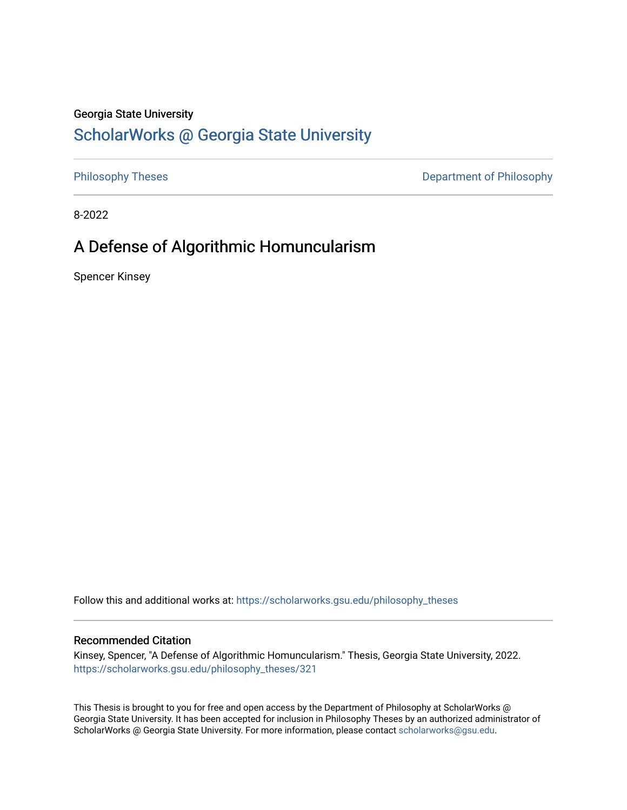### Georgia State University

## [ScholarWorks @ Georgia State University](https://scholarworks.gsu.edu/)

[Philosophy Theses](https://scholarworks.gsu.edu/philosophy_theses) **Department of Philosophy** 

8-2022

# A Defense of Algorithmic Homuncularism

Spencer Kinsey

Follow this and additional works at: [https://scholarworks.gsu.edu/philosophy\\_theses](https://scholarworks.gsu.edu/philosophy_theses?utm_source=scholarworks.gsu.edu%2Fphilosophy_theses%2F321&utm_medium=PDF&utm_campaign=PDFCoverPages) 

### Recommended Citation

Kinsey, Spencer, "A Defense of Algorithmic Homuncularism." Thesis, Georgia State University, 2022. [https://scholarworks.gsu.edu/philosophy\\_theses/321](https://scholarworks.gsu.edu/philosophy_theses/321?utm_source=scholarworks.gsu.edu%2Fphilosophy_theses%2F321&utm_medium=PDF&utm_campaign=PDFCoverPages) 

This Thesis is brought to you for free and open access by the Department of Philosophy at ScholarWorks @ Georgia State University. It has been accepted for inclusion in Philosophy Theses by an authorized administrator of ScholarWorks @ Georgia State University. For more information, please contact [scholarworks@gsu.edu](mailto:scholarworks@gsu.edu).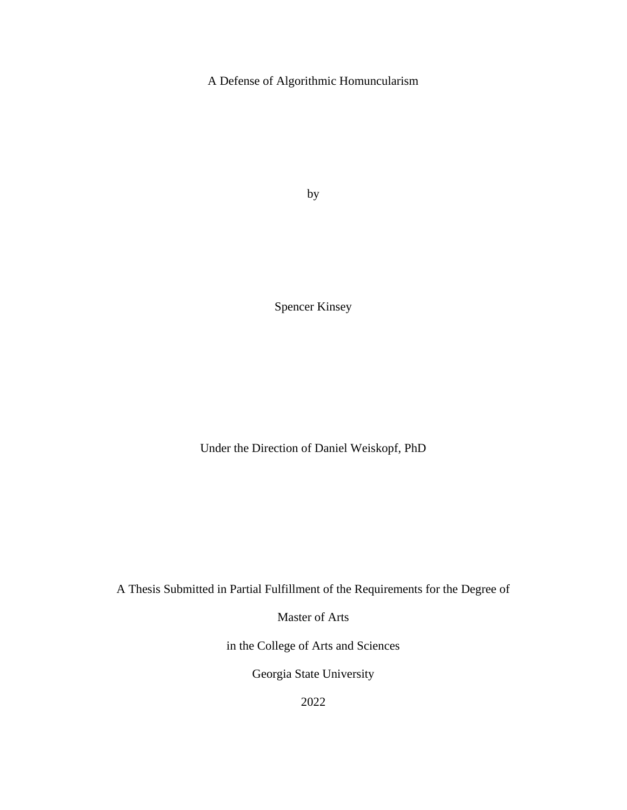A Defense of Algorithmic Homuncularism

by

Spencer Kinsey

Under the Direction of Daniel Weiskopf, PhD

A Thesis Submitted in Partial Fulfillment of the Requirements for the Degree of

Master of Arts

in the College of Arts and Sciences

Georgia State University

2022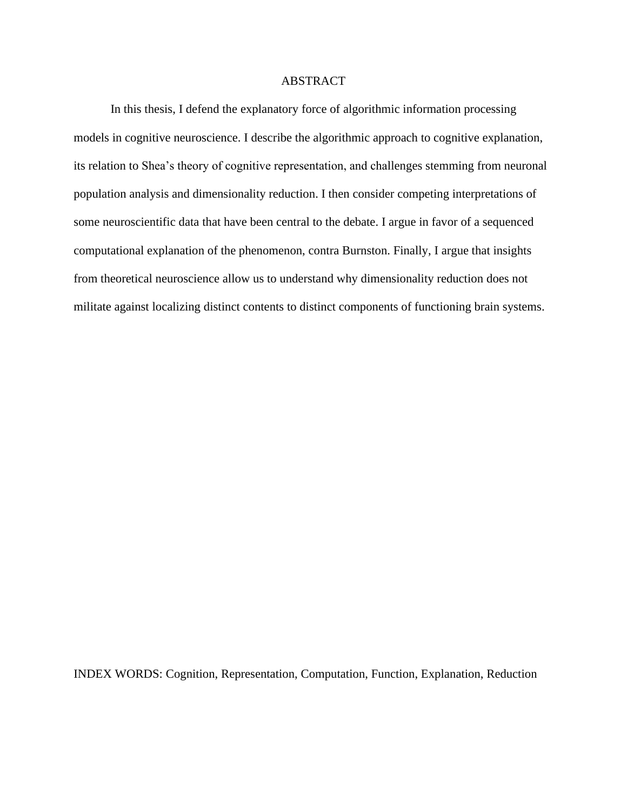### ABSTRACT

In this thesis, I defend the explanatory force of algorithmic information processing models in cognitive neuroscience. I describe the algorithmic approach to cognitive explanation, its relation to Shea's theory of cognitive representation, and challenges stemming from neuronal population analysis and dimensionality reduction. I then consider competing interpretations of some neuroscientific data that have been central to the debate. I argue in favor of a sequenced computational explanation of the phenomenon, contra Burnston. Finally, I argue that insights from theoretical neuroscience allow us to understand why dimensionality reduction does not militate against localizing distinct contents to distinct components of functioning brain systems.

INDEX WORDS: Cognition, Representation, Computation, Function, Explanation, Reduction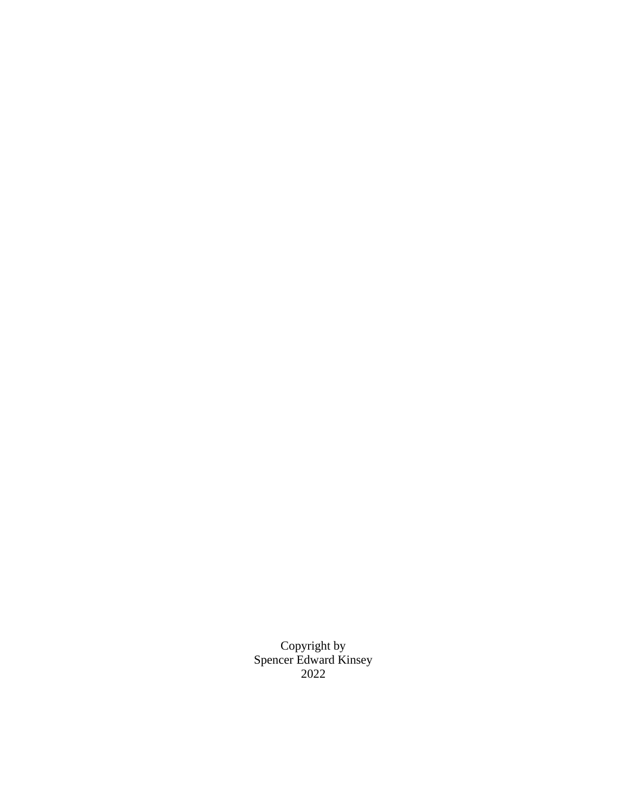Copyright by Spencer Edward Kinsey 2022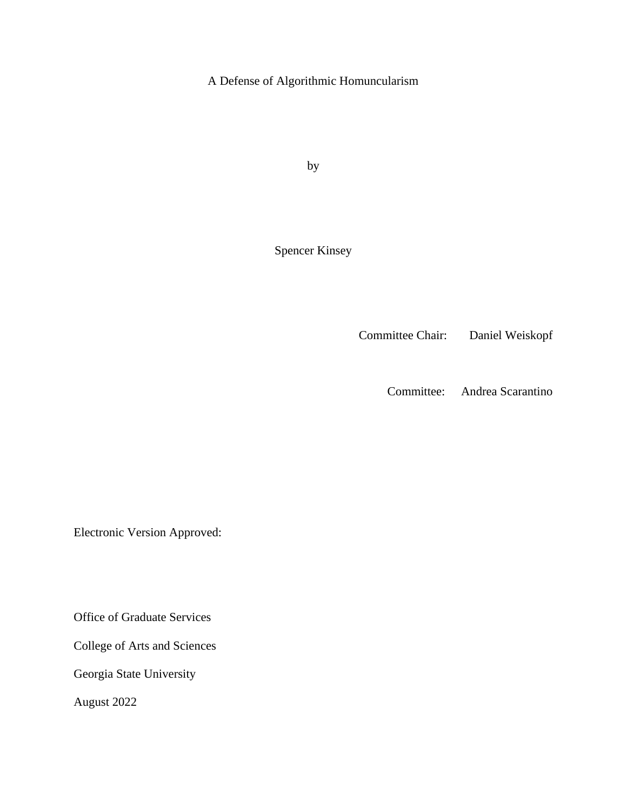A Defense of Algorithmic Homuncularism

by

Spencer Kinsey

Committee Chair: Daniel Weiskopf

Committee: Andrea Scarantino

Electronic Version Approved:

Office of Graduate Services

College of Arts and Sciences

Georgia State University

August 2022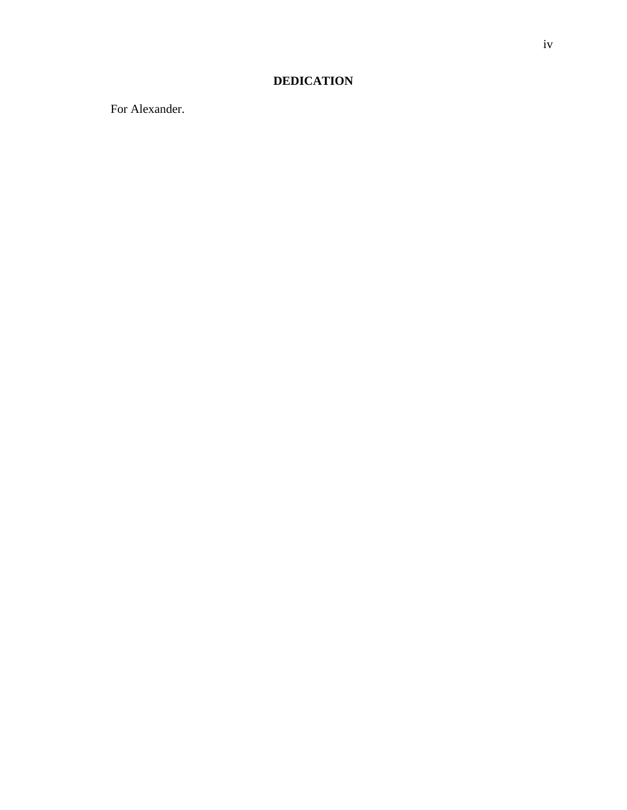### **DEDICATION**

For Alexander.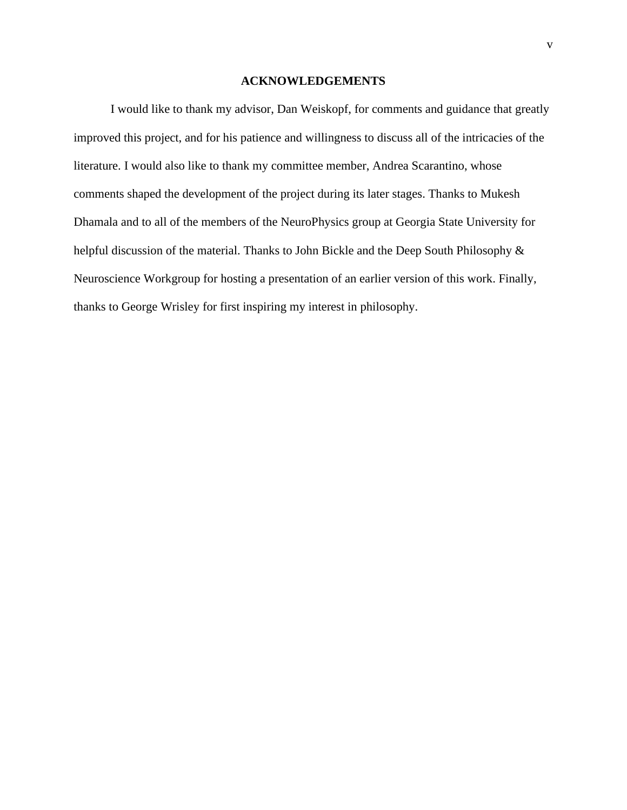### **ACKNOWLEDGEMENTS**

<span id="page-6-0"></span>I would like to thank my advisor, Dan Weiskopf, for comments and guidance that greatly improved this project, and for his patience and willingness to discuss all of the intricacies of the literature. I would also like to thank my committee member, Andrea Scarantino, whose comments shaped the development of the project during its later stages. Thanks to Mukesh Dhamala and to all of the members of the NeuroPhysics group at Georgia State University for helpful discussion of the material. Thanks to John Bickle and the Deep South Philosophy & Neuroscience Workgroup for hosting a presentation of an earlier version of this work. Finally, thanks to George Wrisley for first inspiring my interest in philosophy.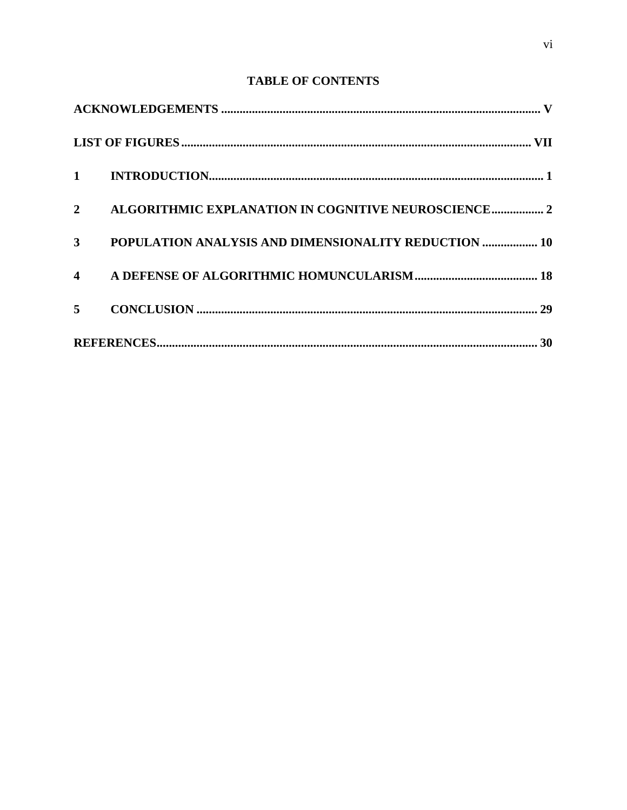### **TABLE OF CONTENTS**

| $\overline{2}$ | ALGORITHMIC EXPLANATION IN COGNITIVE NEUROSCIENCE 2  |
|----------------|------------------------------------------------------|
| 3 <sup>1</sup> | POPULATION ANALYSIS AND DIMENSIONALITY REDUCTION  10 |
|                |                                                      |
| 5 <sup>1</sup> |                                                      |
|                |                                                      |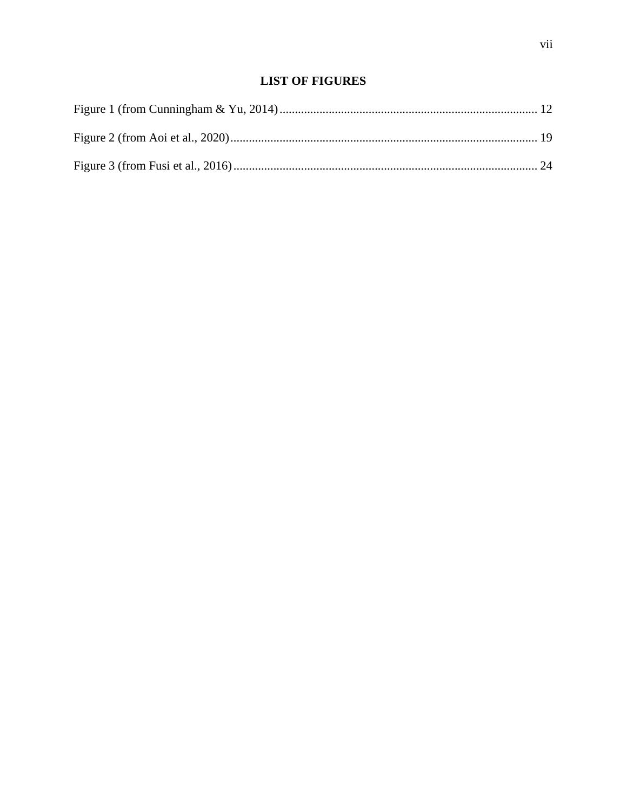### **LIST OF FIGURES**

<span id="page-8-0"></span>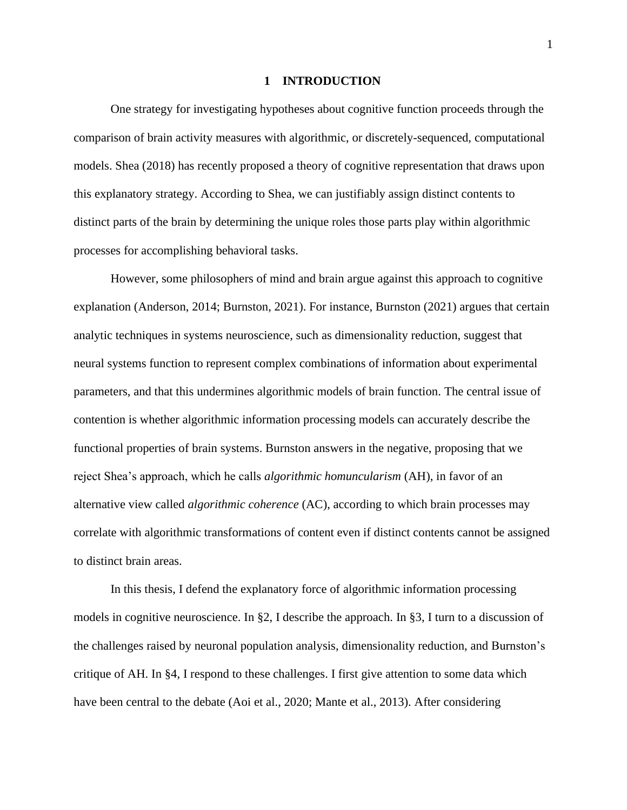#### **1 INTRODUCTION**

<span id="page-9-0"></span>One strategy for investigating hypotheses about cognitive function proceeds through the comparison of brain activity measures with algorithmic, or discretely-sequenced, computational models. Shea (2018) has recently proposed a theory of cognitive representation that draws upon this explanatory strategy. According to Shea, we can justifiably assign distinct contents to distinct parts of the brain by determining the unique roles those parts play within algorithmic processes for accomplishing behavioral tasks.

However, some philosophers of mind and brain argue against this approach to cognitive explanation (Anderson, 2014; Burnston, 2021). For instance, Burnston (2021) argues that certain analytic techniques in systems neuroscience, such as dimensionality reduction, suggest that neural systems function to represent complex combinations of information about experimental parameters, and that this undermines algorithmic models of brain function. The central issue of contention is whether algorithmic information processing models can accurately describe the functional properties of brain systems. Burnston answers in the negative, proposing that we reject Shea's approach, which he calls *algorithmic homuncularism* (AH), in favor of an alternative view called *algorithmic coherence* (AC), according to which brain processes may correlate with algorithmic transformations of content even if distinct contents cannot be assigned to distinct brain areas.

In this thesis, I defend the explanatory force of algorithmic information processing models in cognitive neuroscience. In §2, I describe the approach. In §3, I turn to a discussion of the challenges raised by neuronal population analysis, dimensionality reduction, and Burnston's critique of AH. In §4, I respond to these challenges. I first give attention to some data which have been central to the debate (Aoi et al., 2020; Mante et al., 2013). After considering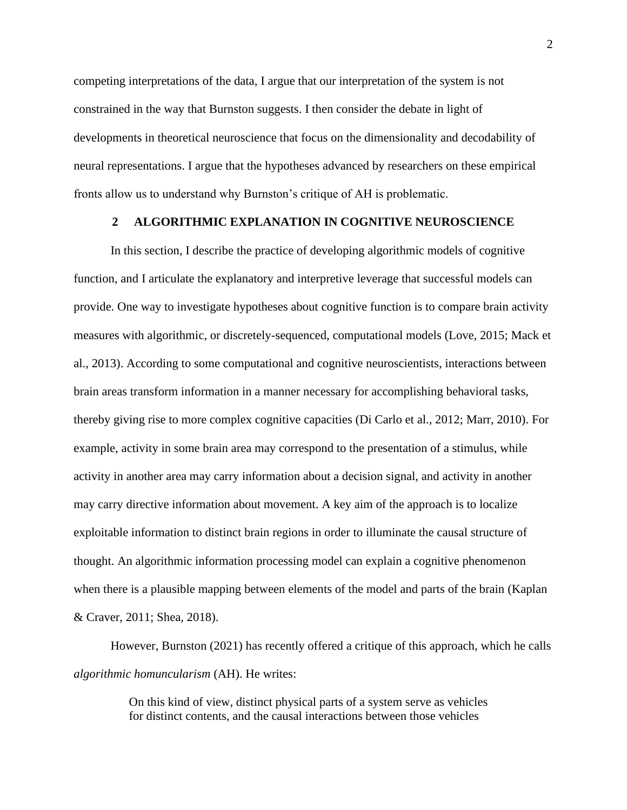competing interpretations of the data, I argue that our interpretation of the system is not constrained in the way that Burnston suggests. I then consider the debate in light of developments in theoretical neuroscience that focus on the dimensionality and decodability of neural representations. I argue that the hypotheses advanced by researchers on these empirical fronts allow us to understand why Burnston's critique of AH is problematic.

### **2 ALGORITHMIC EXPLANATION IN COGNITIVE NEUROSCIENCE**

<span id="page-10-0"></span>In this section, I describe the practice of developing algorithmic models of cognitive function, and I articulate the explanatory and interpretive leverage that successful models can provide. One way to investigate hypotheses about cognitive function is to compare brain activity measures with algorithmic, or discretely-sequenced, computational models (Love, 2015; Mack et al., 2013). According to some computational and cognitive neuroscientists, interactions between brain areas transform information in a manner necessary for accomplishing behavioral tasks, thereby giving rise to more complex cognitive capacities (Di Carlo et al., 2012; Marr, 2010). For example, activity in some brain area may correspond to the presentation of a stimulus, while activity in another area may carry information about a decision signal, and activity in another may carry directive information about movement. A key aim of the approach is to localize exploitable information to distinct brain regions in order to illuminate the causal structure of thought. An algorithmic information processing model can explain a cognitive phenomenon when there is a plausible mapping between elements of the model and parts of the brain (Kaplan & Craver, 2011; Shea, 2018).

However, Burnston (2021) has recently offered a critique of this approach, which he calls *algorithmic homuncularism* (AH). He writes:

> On this kind of view, distinct physical parts of a system serve as vehicles for distinct contents, and the causal interactions between those vehicles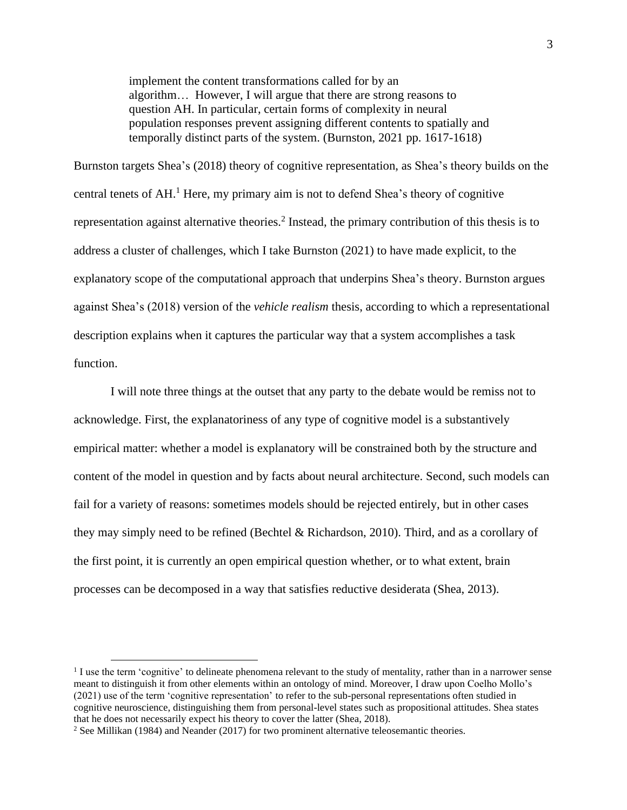implement the content transformations called for by an algorithm… However, I will argue that there are strong reasons to question AH. In particular, certain forms of complexity in neural population responses prevent assigning different contents to spatially and temporally distinct parts of the system. (Burnston, 2021 pp. 1617-1618)

Burnston targets Shea's (2018) theory of cognitive representation, as Shea's theory builds on the central tenets of  $AH$ <sup>1</sup>. Here, my primary aim is not to defend Shea's theory of cognitive representation against alternative theories. 2 Instead, the primary contribution of this thesis is to address a cluster of challenges, which I take Burnston (2021) to have made explicit, to the explanatory scope of the computational approach that underpins Shea's theory. Burnston argues against Shea's (2018) version of the *vehicle realism* thesis, according to which a representational description explains when it captures the particular way that a system accomplishes a task function.

I will note three things at the outset that any party to the debate would be remiss not to acknowledge. First, the explanatoriness of any type of cognitive model is a substantively empirical matter: whether a model is explanatory will be constrained both by the structure and content of the model in question and by facts about neural architecture. Second, such models can fail for a variety of reasons: sometimes models should be rejected entirely, but in other cases they may simply need to be refined (Bechtel & Richardson, 2010). Third, and as a corollary of the first point, it is currently an open empirical question whether, or to what extent, brain processes can be decomposed in a way that satisfies reductive desiderata (Shea, 2013).

<sup>&</sup>lt;sup>1</sup> I use the term 'cognitive' to delineate phenomena relevant to the study of mentality, rather than in a narrower sense meant to distinguish it from other elements within an ontology of mind. Moreover, I draw upon Coelho Mollo's (2021) use of the term 'cognitive representation' to refer to the sub-personal representations often studied in cognitive neuroscience, distinguishing them from personal-level states such as propositional attitudes. Shea states that he does not necessarily expect his theory to cover the latter (Shea, 2018).

<sup>&</sup>lt;sup>2</sup> See Millikan (1984) and Neander (2017) for two prominent alternative teleosemantic theories.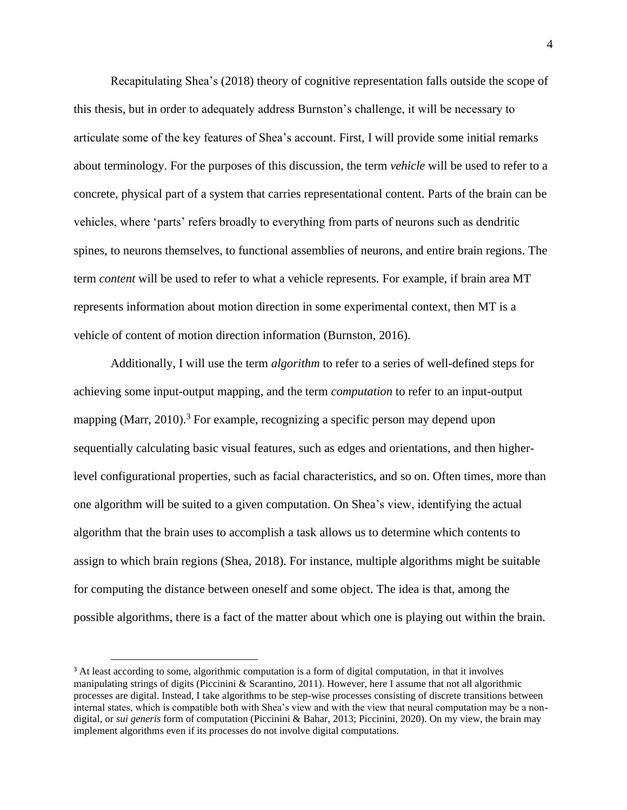Recapitulating Shea's (2018) theory of cognitive representation falls outside the scope of this thesis, but in order to adequately address Burnston's challenge, it will be necessary to articulate some of the key features of Shea's account. First, I will provide some initial remarks about terminology. For the purposes of this discussion, the term *vehicle* will be used to refer to a concrete, physical part of a system that carries representational content. Parts of the brain can be vehicles, where 'parts' refers broadly to everything from parts of neurons such as dendritic spines, to neurons themselves, to functional assemblies of neurons, and entire brain regions. The term *content* will be used to refer to what a vehicle represents*.* For example, if brain area MT represents information about motion direction in some experimental context, then MT is a vehicle of content of motion direction information (Burnston, 2016).

Additionally, I will use the term *algorithm* to refer to a series of well-defined steps for achieving some input-output mapping, and the term *computation* to refer to an input-output mapping (Marr, 2010).<sup>3</sup> For example, recognizing a specific person may depend upon sequentially calculating basic visual features, such as edges and orientations, and then higherlevel configurational properties, such as facial characteristics, and so on. Often times, more than one algorithm will be suited to a given computation. On Shea's view, identifying the actual algorithm that the brain uses to accomplish a task allows us to determine which contents to assign to which brain regions (Shea, 2018). For instance, multiple algorithms might be suitable for computing the distance between oneself and some object. The idea is that, among the possible algorithms, there is a fact of the matter about which one is playing out within the brain.

<sup>&</sup>lt;sup>3</sup> At least according to some, algorithmic computation is a form of digital computation, in that it involves manipulating strings of digits (Piccinini & Scarantino, 2011). However, here I assume that not all algorithmic processes are digital. Instead, I take algorithms to be step-wise processes consisting of discrete transitions between internal states, which is compatible both with Shea's view and with the view that neural computation may be a nondigital, or *sui generis* form of computation (Piccinini & Bahar, 2013; Piccinini, 2020). On my view, the brain may implement algorithms even if its processes do not involve digital computations.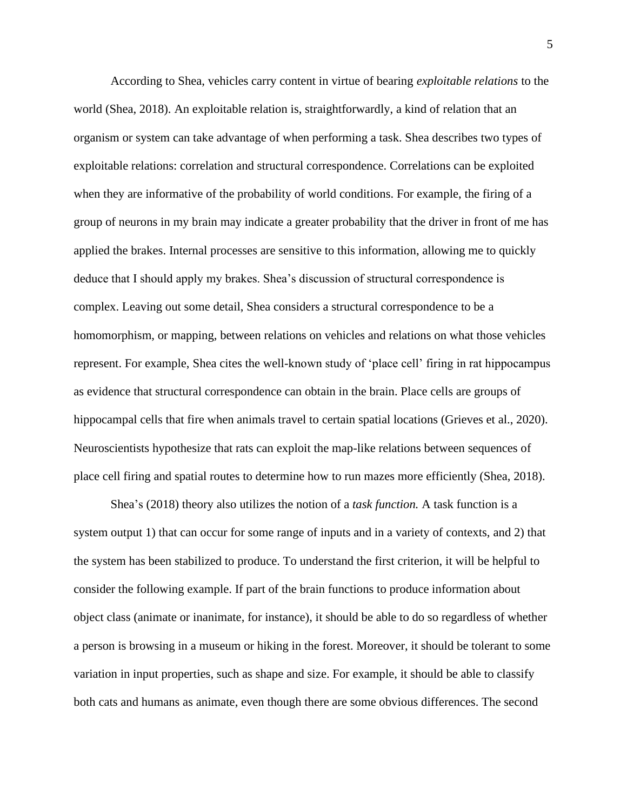According to Shea, vehicles carry content in virtue of bearing *exploitable relations* to the world (Shea, 2018). An exploitable relation is, straightforwardly, a kind of relation that an organism or system can take advantage of when performing a task. Shea describes two types of exploitable relations: correlation and structural correspondence. Correlations can be exploited when they are informative of the probability of world conditions. For example, the firing of a group of neurons in my brain may indicate a greater probability that the driver in front of me has applied the brakes. Internal processes are sensitive to this information, allowing me to quickly deduce that I should apply my brakes. Shea's discussion of structural correspondence is complex. Leaving out some detail, Shea considers a structural correspondence to be a homomorphism, or mapping, between relations on vehicles and relations on what those vehicles represent. For example, Shea cites the well-known study of 'place cell' firing in rat hippocampus as evidence that structural correspondence can obtain in the brain. Place cells are groups of hippocampal cells that fire when animals travel to certain spatial locations (Grieves et al., 2020). Neuroscientists hypothesize that rats can exploit the map-like relations between sequences of place cell firing and spatial routes to determine how to run mazes more efficiently (Shea, 2018).

Shea's (2018) theory also utilizes the notion of a *task function.* A task function is a system output 1) that can occur for some range of inputs and in a variety of contexts, and 2) that the system has been stabilized to produce. To understand the first criterion, it will be helpful to consider the following example. If part of the brain functions to produce information about object class (animate or inanimate, for instance), it should be able to do so regardless of whether a person is browsing in a museum or hiking in the forest. Moreover, it should be tolerant to some variation in input properties, such as shape and size. For example, it should be able to classify both cats and humans as animate, even though there are some obvious differences. The second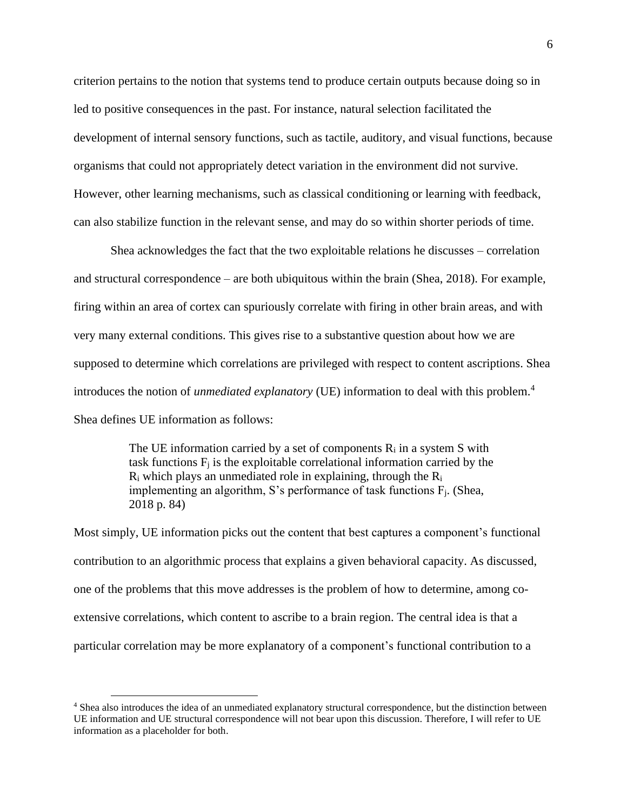criterion pertains to the notion that systems tend to produce certain outputs because doing so in led to positive consequences in the past. For instance, natural selection facilitated the development of internal sensory functions, such as tactile, auditory, and visual functions, because organisms that could not appropriately detect variation in the environment did not survive. However, other learning mechanisms, such as classical conditioning or learning with feedback, can also stabilize function in the relevant sense, and may do so within shorter periods of time.

Shea acknowledges the fact that the two exploitable relations he discusses – correlation and structural correspondence – are both ubiquitous within the brain (Shea, 2018). For example, firing within an area of cortex can spuriously correlate with firing in other brain areas, and with very many external conditions. This gives rise to a substantive question about how we are supposed to determine which correlations are privileged with respect to content ascriptions. Shea introduces the notion of *unmediated explanatory* (UE) information to deal with this problem.<sup>4</sup> Shea defines UE information as follows:

> The UE information carried by a set of components  $R_i$  in a system S with task functions  $F_i$  is the exploitable correlational information carried by the  $R_i$  which plays an unmediated role in explaining, through the  $R_i$ implementing an algorithm, S's performance of task functions  $F_i$ . (Shea, 2018 p. 84)

Most simply, UE information picks out the content that best captures a component's functional contribution to an algorithmic process that explains a given behavioral capacity. As discussed, one of the problems that this move addresses is the problem of how to determine, among coextensive correlations, which content to ascribe to a brain region. The central idea is that a particular correlation may be more explanatory of a component's functional contribution to a

<sup>4</sup> Shea also introduces the idea of an unmediated explanatory structural correspondence*,* but the distinction between UE information and UE structural correspondence will not bear upon this discussion. Therefore, I will refer to UE information as a placeholder for both.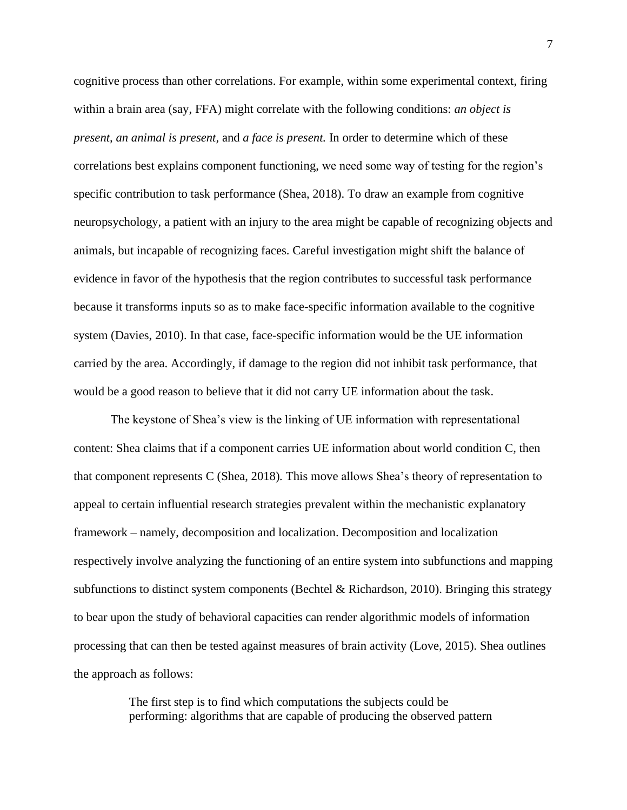cognitive process than other correlations. For example, within some experimental context, firing within a brain area (say, FFA) might correlate with the following conditions: *an object is present, an animal is present,* and *a face is present.* In order to determine which of these correlations best explains component functioning, we need some way of testing for the region's specific contribution to task performance (Shea, 2018). To draw an example from cognitive neuropsychology, a patient with an injury to the area might be capable of recognizing objects and animals, but incapable of recognizing faces. Careful investigation might shift the balance of evidence in favor of the hypothesis that the region contributes to successful task performance because it transforms inputs so as to make face-specific information available to the cognitive system (Davies, 2010). In that case, face-specific information would be the UE information carried by the area. Accordingly, if damage to the region did not inhibit task performance, that would be a good reason to believe that it did not carry UE information about the task.

The keystone of Shea's view is the linking of UE information with representational content: Shea claims that if a component carries UE information about world condition C*,* then that component represents C (Shea, 2018)*.* This move allows Shea's theory of representation to appeal to certain influential research strategies prevalent within the mechanistic explanatory framework – namely, decomposition and localization. Decomposition and localization respectively involve analyzing the functioning of an entire system into subfunctions and mapping subfunctions to distinct system components (Bechtel & Richardson, 2010). Bringing this strategy to bear upon the study of behavioral capacities can render algorithmic models of information processing that can then be tested against measures of brain activity (Love, 2015). Shea outlines the approach as follows:

> The first step is to find which computations the subjects could be performing: algorithms that are capable of producing the observed pattern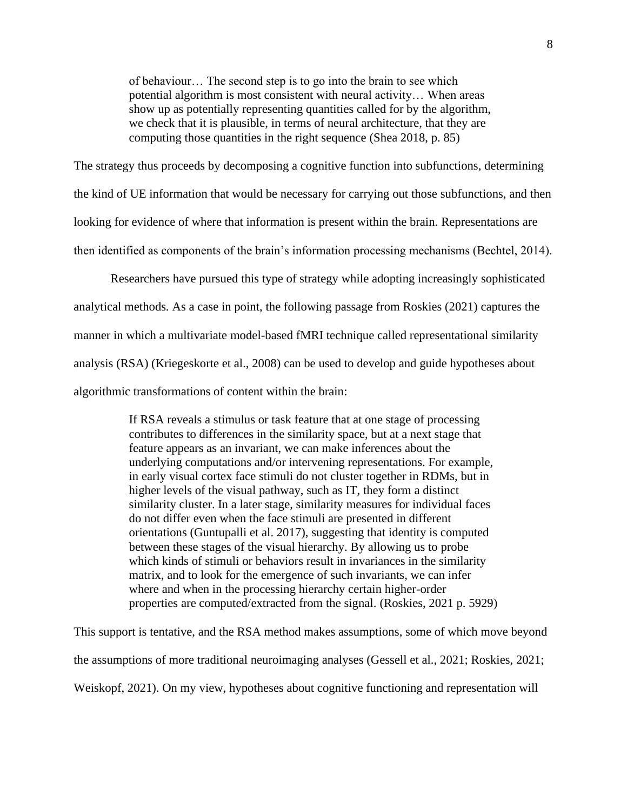of behaviour… The second step is to go into the brain to see which potential algorithm is most consistent with neural activity… When areas show up as potentially representing quantities called for by the algorithm, we check that it is plausible, in terms of neural architecture, that they are computing those quantities in the right sequence (Shea 2018, p. 85)

The strategy thus proceeds by decomposing a cognitive function into subfunctions, determining the kind of UE information that would be necessary for carrying out those subfunctions, and then looking for evidence of where that information is present within the brain. Representations are then identified as components of the brain's information processing mechanisms (Bechtel, 2014).

Researchers have pursued this type of strategy while adopting increasingly sophisticated analytical methods*.* As a case in point, the following passage from Roskies (2021) captures the manner in which a multivariate model-based fMRI technique called representational similarity analysis (RSA) (Kriegeskorte et al., 2008) can be used to develop and guide hypotheses about algorithmic transformations of content within the brain:

> If RSA reveals a stimulus or task feature that at one stage of processing contributes to differences in the similarity space, but at a next stage that feature appears as an invariant, we can make inferences about the underlying computations and/or intervening representations. For example, in early visual cortex face stimuli do not cluster together in RDMs, but in higher levels of the visual pathway, such as IT, they form a distinct similarity cluster. In a later stage, similarity measures for individual faces do not differ even when the face stimuli are presented in different orientations (Guntupalli et al. 2017), suggesting that identity is computed between these stages of the visual hierarchy. By allowing us to probe which kinds of stimuli or behaviors result in invariances in the similarity matrix, and to look for the emergence of such invariants, we can infer where and when in the processing hierarchy certain higher-order properties are computed/extracted from the signal. (Roskies, 2021 p. 5929)

This support is tentative, and the RSA method makes assumptions, some of which move beyond the assumptions of more traditional neuroimaging analyses (Gessell et al., 2021; Roskies, 2021; Weiskopf, 2021). On my view, hypotheses about cognitive functioning and representation will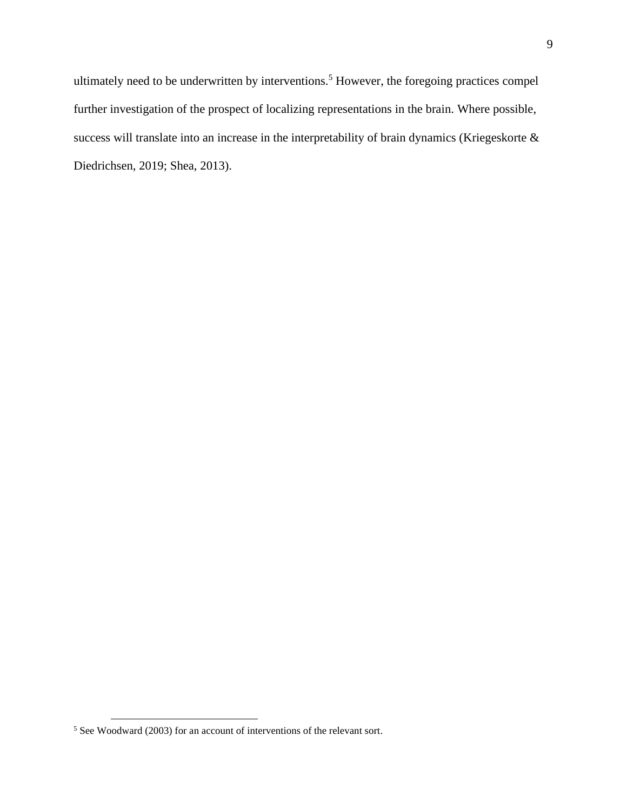ultimately need to be underwritten by interventions.<sup>5</sup> However, the foregoing practices compel further investigation of the prospect of localizing representations in the brain. Where possible, success will translate into an increase in the interpretability of brain dynamics (Kriegeskorte & Diedrichsen, 2019; Shea, 2013).

<sup>5</sup> See Woodward (2003) for an account of interventions of the relevant sort.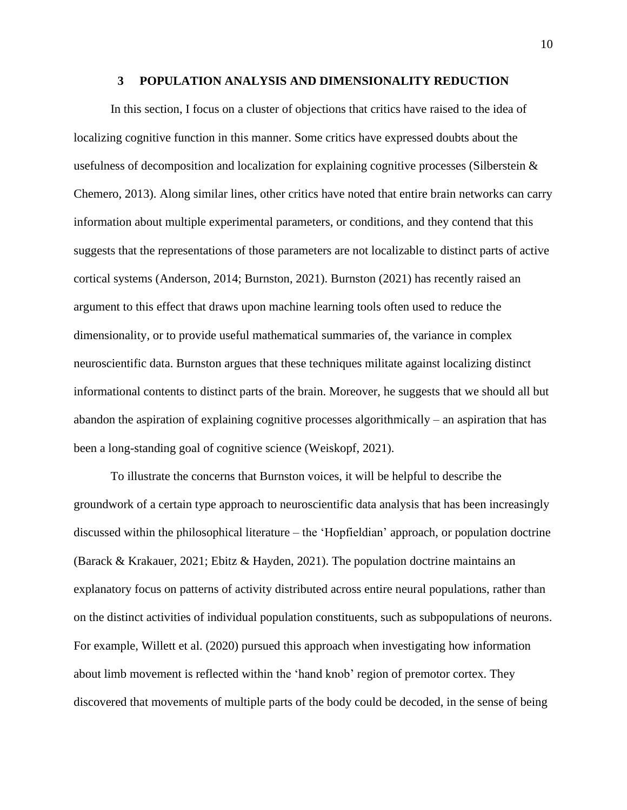#### **3 POPULATION ANALYSIS AND DIMENSIONALITY REDUCTION**

<span id="page-18-0"></span>In this section, I focus on a cluster of objections that critics have raised to the idea of localizing cognitive function in this manner. Some critics have expressed doubts about the usefulness of decomposition and localization for explaining cognitive processes (Silberstein & Chemero, 2013). Along similar lines, other critics have noted that entire brain networks can carry information about multiple experimental parameters, or conditions, and they contend that this suggests that the representations of those parameters are not localizable to distinct parts of active cortical systems (Anderson, 2014; Burnston, 2021). Burnston (2021) has recently raised an argument to this effect that draws upon machine learning tools often used to reduce the dimensionality, or to provide useful mathematical summaries of, the variance in complex neuroscientific data. Burnston argues that these techniques militate against localizing distinct informational contents to distinct parts of the brain. Moreover, he suggests that we should all but abandon the aspiration of explaining cognitive processes algorithmically – an aspiration that has been a long-standing goal of cognitive science (Weiskopf, 2021).

To illustrate the concerns that Burnston voices, it will be helpful to describe the groundwork of a certain type approach to neuroscientific data analysis that has been increasingly discussed within the philosophical literature – the 'Hopfieldian' approach, or population doctrine (Barack & Krakauer, 2021; Ebitz & Hayden, 2021). The population doctrine maintains an explanatory focus on patterns of activity distributed across entire neural populations, rather than on the distinct activities of individual population constituents, such as subpopulations of neurons. For example, Willett et al. (2020) pursued this approach when investigating how information about limb movement is reflected within the 'hand knob' region of premotor cortex. They discovered that movements of multiple parts of the body could be decoded, in the sense of being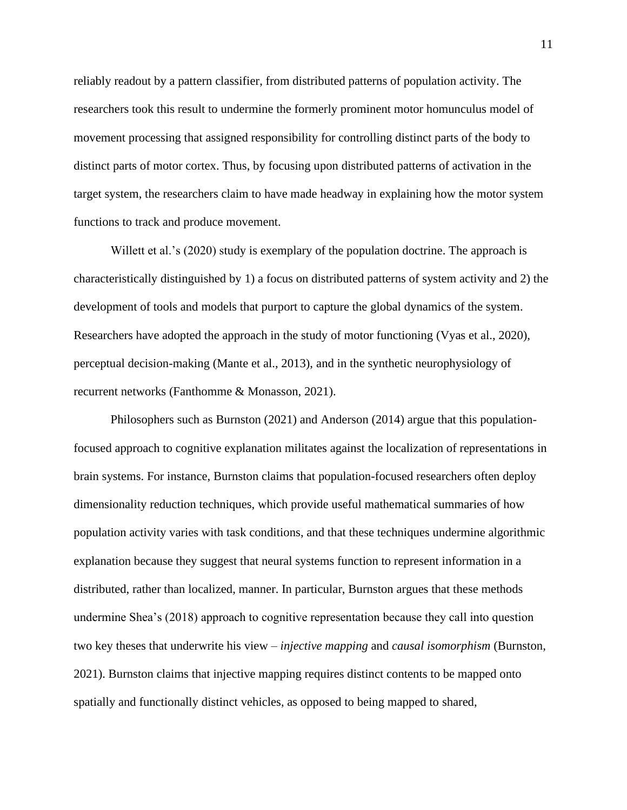reliably readout by a pattern classifier, from distributed patterns of population activity. The researchers took this result to undermine the formerly prominent motor homunculus model of movement processing that assigned responsibility for controlling distinct parts of the body to distinct parts of motor cortex. Thus, by focusing upon distributed patterns of activation in the target system, the researchers claim to have made headway in explaining how the motor system functions to track and produce movement.

Willett et al.'s (2020) study is exemplary of the population doctrine. The approach is characteristically distinguished by 1) a focus on distributed patterns of system activity and 2) the development of tools and models that purport to capture the global dynamics of the system. Researchers have adopted the approach in the study of motor functioning (Vyas et al., 2020), perceptual decision-making (Mante et al., 2013), and in the synthetic neurophysiology of recurrent networks (Fanthomme & Monasson, 2021).

Philosophers such as Burnston (2021) and Anderson (2014) argue that this populationfocused approach to cognitive explanation militates against the localization of representations in brain systems. For instance, Burnston claims that population-focused researchers often deploy dimensionality reduction techniques, which provide useful mathematical summaries of how population activity varies with task conditions, and that these techniques undermine algorithmic explanation because they suggest that neural systems function to represent information in a distributed, rather than localized, manner. In particular, Burnston argues that these methods undermine Shea's (2018) approach to cognitive representation because they call into question two key theses that underwrite his view – *injective mapping* and *causal isomorphism* (Burnston, 2021). Burnston claims that injective mapping requires distinct contents to be mapped onto spatially and functionally distinct vehicles, as opposed to being mapped to shared,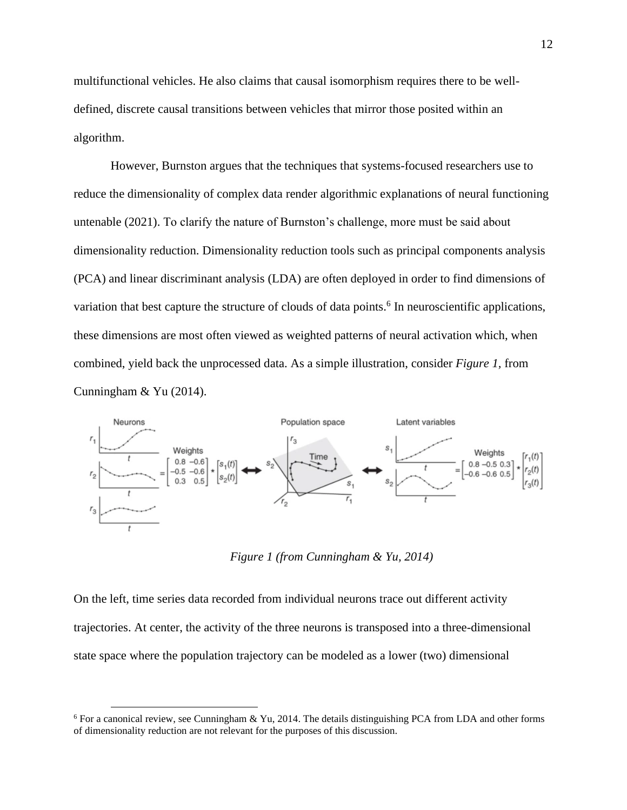multifunctional vehicles. He also claims that causal isomorphism requires there to be welldefined, discrete causal transitions between vehicles that mirror those posited within an algorithm.

However, Burnston argues that the techniques that systems-focused researchers use to reduce the dimensionality of complex data render algorithmic explanations of neural functioning untenable (2021). To clarify the nature of Burnston's challenge, more must be said about dimensionality reduction. Dimensionality reduction tools such as principal components analysis (PCA) and linear discriminant analysis (LDA) are often deployed in order to find dimensions of variation that best capture the structure of clouds of data points.<sup>6</sup> In neuroscientific applications, these dimensions are most often viewed as weighted patterns of neural activation which, when combined, yield back the unprocessed data. As a simple illustration, consider *Figure 1,* from Cunningham & Yu (2014).



*Figure 1 (from Cunningham & Yu, 2014)*

<span id="page-20-0"></span>On the left, time series data recorded from individual neurons trace out different activity trajectories. At center, the activity of the three neurons is transposed into a three-dimensional state space where the population trajectory can be modeled as a lower (two) dimensional

<sup>6</sup> For a canonical review, see Cunningham & Yu, 2014. The details distinguishing PCA from LDA and other forms of dimensionality reduction are not relevant for the purposes of this discussion.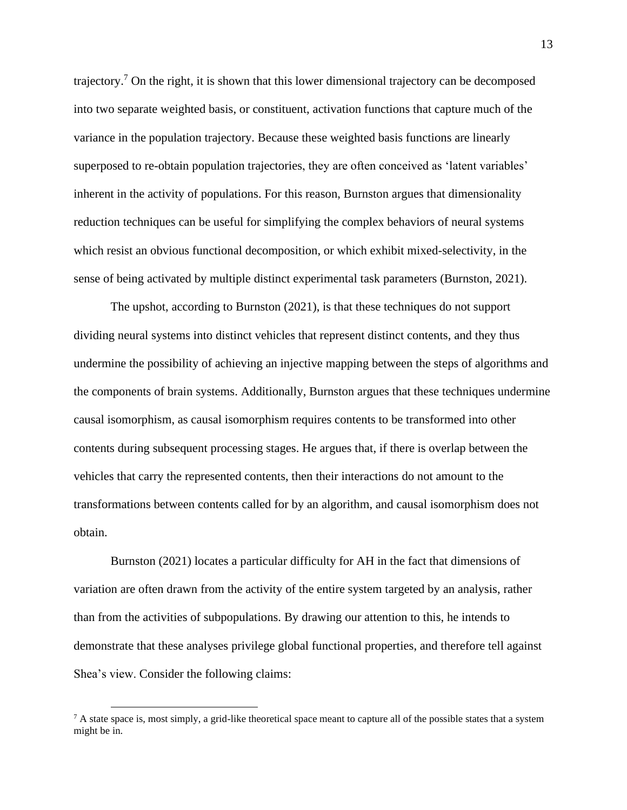trajectory.<sup>7</sup> On the right, it is shown that this lower dimensional trajectory can be decomposed into two separate weighted basis, or constituent, activation functions that capture much of the variance in the population trajectory. Because these weighted basis functions are linearly superposed to re-obtain population trajectories, they are often conceived as 'latent variables' inherent in the activity of populations. For this reason, Burnston argues that dimensionality reduction techniques can be useful for simplifying the complex behaviors of neural systems which resist an obvious functional decomposition, or which exhibit mixed-selectivity, in the sense of being activated by multiple distinct experimental task parameters (Burnston, 2021).

The upshot, according to Burnston (2021), is that these techniques do not support dividing neural systems into distinct vehicles that represent distinct contents, and they thus undermine the possibility of achieving an injective mapping between the steps of algorithms and the components of brain systems. Additionally, Burnston argues that these techniques undermine causal isomorphism, as causal isomorphism requires contents to be transformed into other contents during subsequent processing stages. He argues that, if there is overlap between the vehicles that carry the represented contents, then their interactions do not amount to the transformations between contents called for by an algorithm, and causal isomorphism does not obtain.

Burnston (2021) locates a particular difficulty for AH in the fact that dimensions of variation are often drawn from the activity of the entire system targeted by an analysis, rather than from the activities of subpopulations. By drawing our attention to this, he intends to demonstrate that these analyses privilege global functional properties, and therefore tell against Shea's view. Consider the following claims:

 $<sup>7</sup>$  A state space is, most simply, a grid-like theoretical space meant to capture all of the possible states that a system</sup> might be in.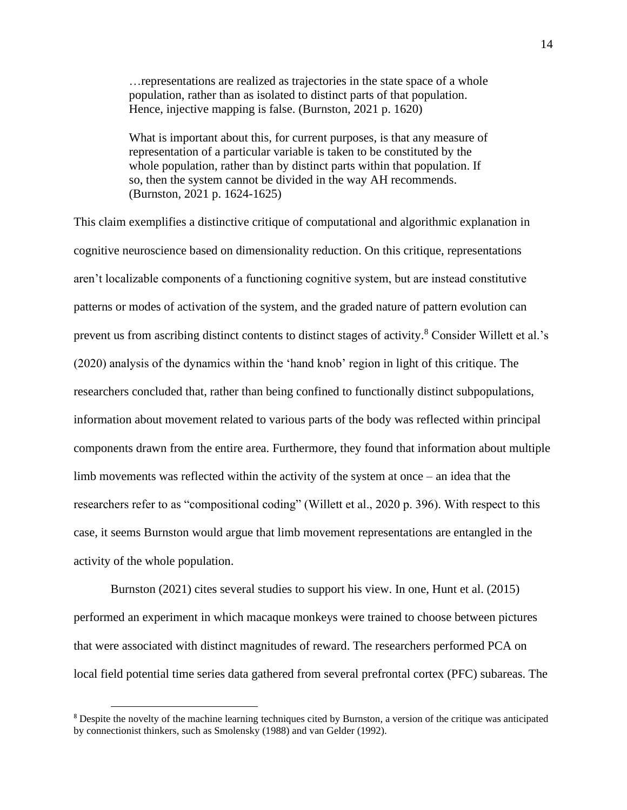…representations are realized as trajectories in the state space of a whole population, rather than as isolated to distinct parts of that population. Hence, injective mapping is false. (Burnston, 2021 p. 1620)

What is important about this, for current purposes, is that any measure of representation of a particular variable is taken to be constituted by the whole population, rather than by distinct parts within that population. If so, then the system cannot be divided in the way AH recommends. (Burnston, 2021 p. 1624-1625)

This claim exemplifies a distinctive critique of computational and algorithmic explanation in cognitive neuroscience based on dimensionality reduction. On this critique, representations aren't localizable components of a functioning cognitive system, but are instead constitutive patterns or modes of activation of the system, and the graded nature of pattern evolution can prevent us from ascribing distinct contents to distinct stages of activity.<sup>8</sup> Consider Willett et al.'s (2020) analysis of the dynamics within the 'hand knob' region in light of this critique. The researchers concluded that, rather than being confined to functionally distinct subpopulations, information about movement related to various parts of the body was reflected within principal components drawn from the entire area. Furthermore, they found that information about multiple limb movements was reflected within the activity of the system at once – an idea that the researchers refer to as "compositional coding" (Willett et al., 2020 p. 396). With respect to this case, it seems Burnston would argue that limb movement representations are entangled in the activity of the whole population.

Burnston (2021) cites several studies to support his view. In one, Hunt et al. (2015) performed an experiment in which macaque monkeys were trained to choose between pictures that were associated with distinct magnitudes of reward. The researchers performed PCA on local field potential time series data gathered from several prefrontal cortex (PFC) subareas. The

<sup>8</sup> Despite the novelty of the machine learning techniques cited by Burnston, a version of the critique was anticipated by connectionist thinkers, such as Smolensky (1988) and van Gelder (1992).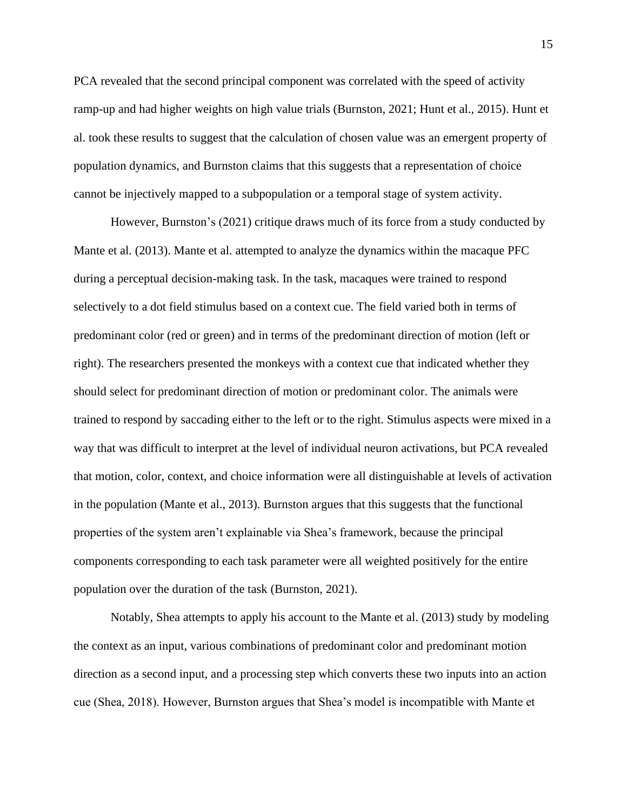PCA revealed that the second principal component was correlated with the speed of activity ramp-up and had higher weights on high value trials (Burnston, 2021; Hunt et al., 2015). Hunt et al. took these results to suggest that the calculation of chosen value was an emergent property of population dynamics, and Burnston claims that this suggests that a representation of choice cannot be injectively mapped to a subpopulation or a temporal stage of system activity.

However, Burnston's (2021) critique draws much of its force from a study conducted by Mante et al. (2013). Mante et al. attempted to analyze the dynamics within the macaque PFC during a perceptual decision-making task. In the task, macaques were trained to respond selectively to a dot field stimulus based on a context cue. The field varied both in terms of predominant color (red or green) and in terms of the predominant direction of motion (left or right). The researchers presented the monkeys with a context cue that indicated whether they should select for predominant direction of motion or predominant color. The animals were trained to respond by saccading either to the left or to the right. Stimulus aspects were mixed in a way that was difficult to interpret at the level of individual neuron activations, but PCA revealed that motion, color, context, and choice information were all distinguishable at levels of activation in the population (Mante et al., 2013). Burnston argues that this suggests that the functional properties of the system aren't explainable via Shea's framework, because the principal components corresponding to each task parameter were all weighted positively for the entire population over the duration of the task (Burnston, 2021).

Notably, Shea attempts to apply his account to the Mante et al. (2013) study by modeling the context as an input, various combinations of predominant color and predominant motion direction as a second input, and a processing step which converts these two inputs into an action cue (Shea, 2018). However, Burnston argues that Shea's model is incompatible with Mante et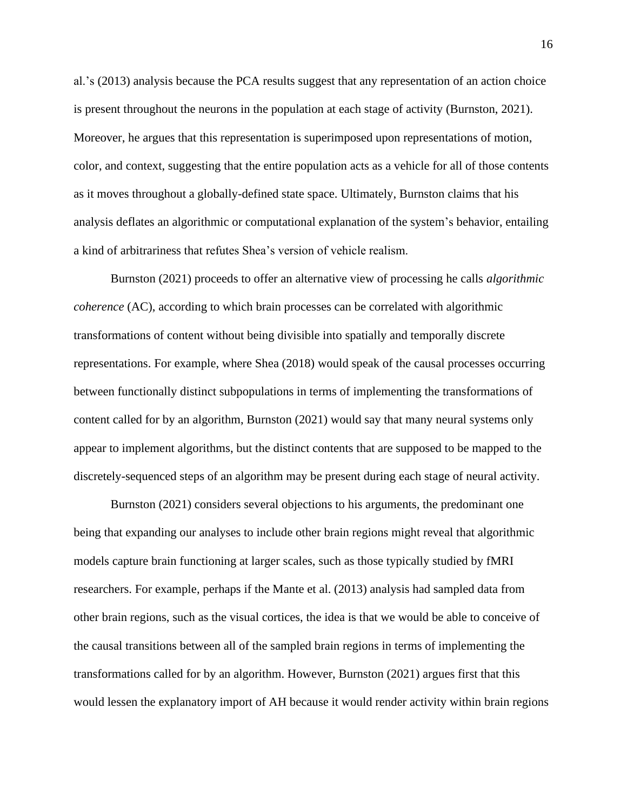al.'s (2013) analysis because the PCA results suggest that any representation of an action choice is present throughout the neurons in the population at each stage of activity (Burnston, 2021). Moreover, he argues that this representation is superimposed upon representations of motion, color, and context, suggesting that the entire population acts as a vehicle for all of those contents as it moves throughout a globally-defined state space. Ultimately, Burnston claims that his analysis deflates an algorithmic or computational explanation of the system's behavior, entailing a kind of arbitrariness that refutes Shea's version of vehicle realism.

Burnston (2021) proceeds to offer an alternative view of processing he calls *algorithmic coherence* (AC), according to which brain processes can be correlated with algorithmic transformations of content without being divisible into spatially and temporally discrete representations. For example, where Shea (2018) would speak of the causal processes occurring between functionally distinct subpopulations in terms of implementing the transformations of content called for by an algorithm, Burnston (2021) would say that many neural systems only appear to implement algorithms, but the distinct contents that are supposed to be mapped to the discretely-sequenced steps of an algorithm may be present during each stage of neural activity.

Burnston (2021) considers several objections to his arguments, the predominant one being that expanding our analyses to include other brain regions might reveal that algorithmic models capture brain functioning at larger scales, such as those typically studied by fMRI researchers. For example, perhaps if the Mante et al. (2013) analysis had sampled data from other brain regions, such as the visual cortices, the idea is that we would be able to conceive of the causal transitions between all of the sampled brain regions in terms of implementing the transformations called for by an algorithm. However, Burnston (2021) argues first that this would lessen the explanatory import of AH because it would render activity within brain regions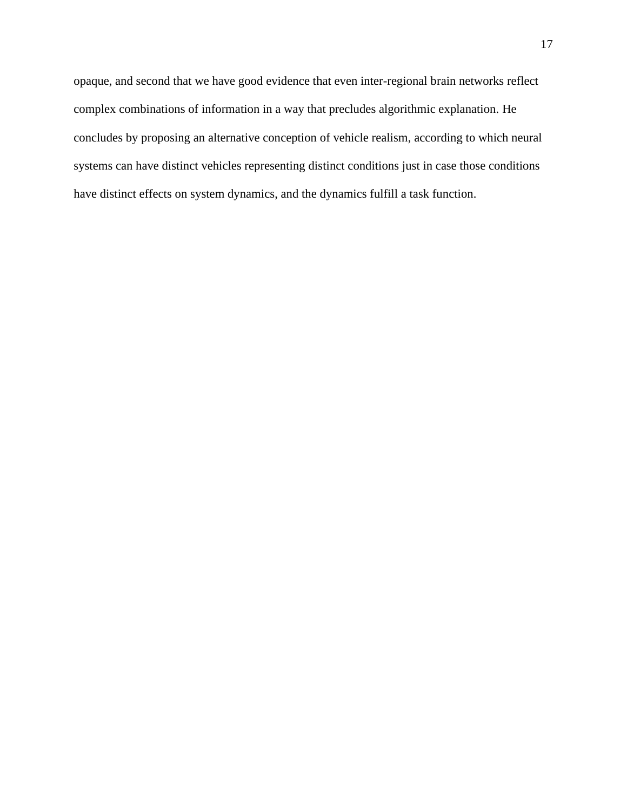opaque, and second that we have good evidence that even inter-regional brain networks reflect complex combinations of information in a way that precludes algorithmic explanation. He concludes by proposing an alternative conception of vehicle realism, according to which neural systems can have distinct vehicles representing distinct conditions just in case those conditions have distinct effects on system dynamics, and the dynamics fulfill a task function.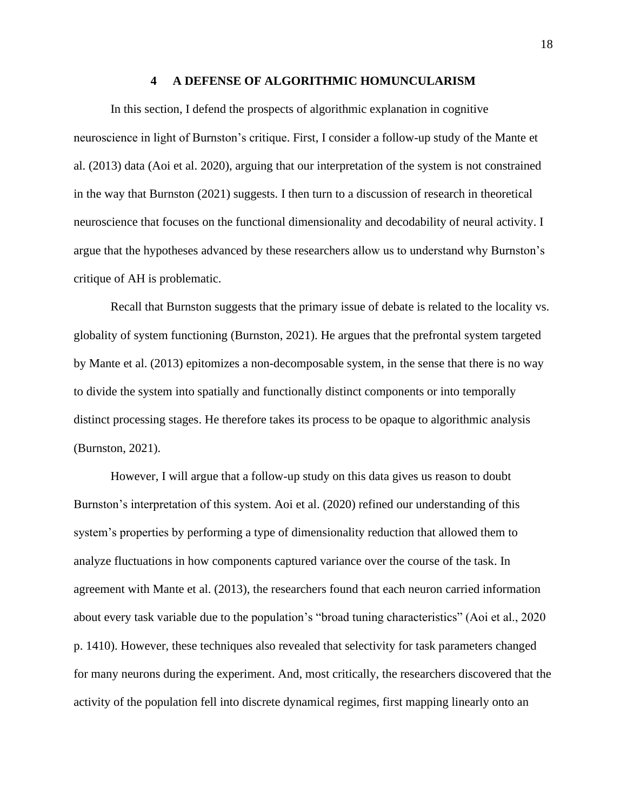#### **4 A DEFENSE OF ALGORITHMIC HOMUNCULARISM**

<span id="page-26-0"></span>In this section, I defend the prospects of algorithmic explanation in cognitive neuroscience in light of Burnston's critique. First, I consider a follow-up study of the Mante et al. (2013) data (Aoi et al. 2020), arguing that our interpretation of the system is not constrained in the way that Burnston (2021) suggests. I then turn to a discussion of research in theoretical neuroscience that focuses on the functional dimensionality and decodability of neural activity. I argue that the hypotheses advanced by these researchers allow us to understand why Burnston's critique of AH is problematic.

Recall that Burnston suggests that the primary issue of debate is related to the locality vs. globality of system functioning (Burnston, 2021). He argues that the prefrontal system targeted by Mante et al. (2013) epitomizes a non-decomposable system, in the sense that there is no way to divide the system into spatially and functionally distinct components or into temporally distinct processing stages. He therefore takes its process to be opaque to algorithmic analysis (Burnston, 2021).

However, I will argue that a follow-up study on this data gives us reason to doubt Burnston's interpretation of this system. Aoi et al. (2020) refined our understanding of this system's properties by performing a type of dimensionality reduction that allowed them to analyze fluctuations in how components captured variance over the course of the task. In agreement with Mante et al. (2013), the researchers found that each neuron carried information about every task variable due to the population's "broad tuning characteristics" (Aoi et al., 2020 p. 1410). However, these techniques also revealed that selectivity for task parameters changed for many neurons during the experiment. And, most critically, the researchers discovered that the activity of the population fell into discrete dynamical regimes, first mapping linearly onto an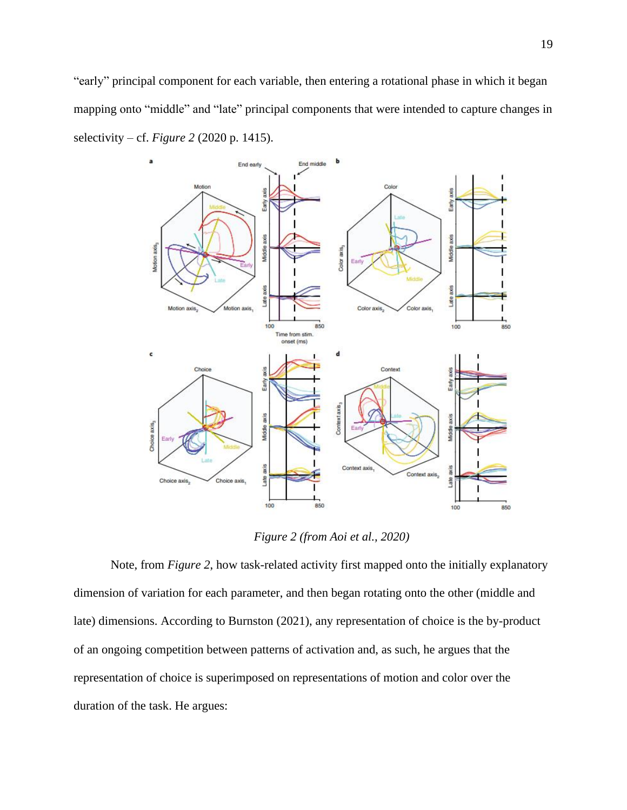"early" principal component for each variable, then entering a rotational phase in which it began mapping onto "middle" and "late" principal components that were intended to capture changes in selectivity – cf. *Figure 2* (2020 p. 1415).



*Figure 2 (from Aoi et al., 2020)*

<span id="page-27-0"></span>Note, from *Figure 2*, how task-related activity first mapped onto the initially explanatory dimension of variation for each parameter, and then began rotating onto the other (middle and late) dimensions. According to Burnston (2021), any representation of choice is the by-product of an ongoing competition between patterns of activation and, as such, he argues that the representation of choice is superimposed on representations of motion and color over the duration of the task. He argues: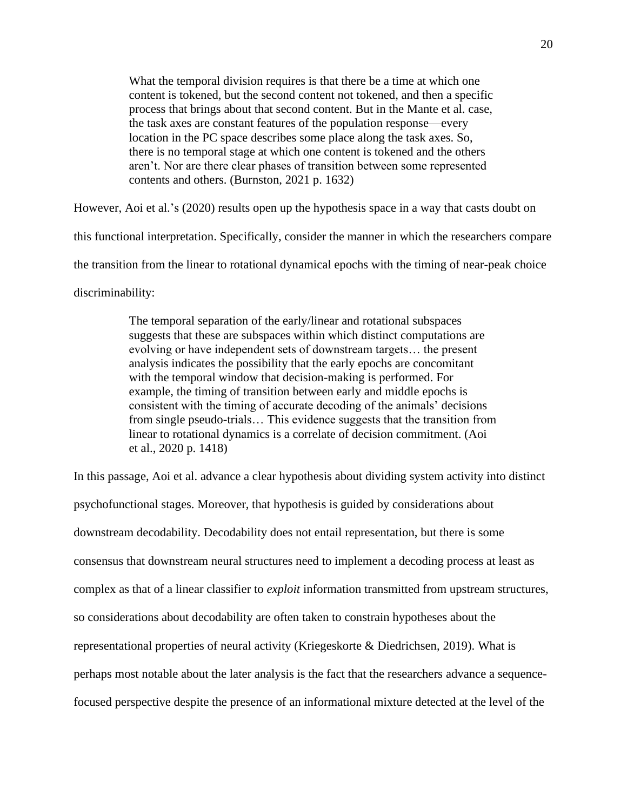What the temporal division requires is that there be a time at which one content is tokened, but the second content not tokened, and then a specific process that brings about that second content. But in the Mante et al. case, the task axes are constant features of the population response—every location in the PC space describes some place along the task axes. So, there is no temporal stage at which one content is tokened and the others aren't. Nor are there clear phases of transition between some represented contents and others. (Burnston, 2021 p. 1632)

However, Aoi et al.'s (2020) results open up the hypothesis space in a way that casts doubt on this functional interpretation. Specifically, consider the manner in which the researchers compare the transition from the linear to rotational dynamical epochs with the timing of near-peak choice discriminability:

> The temporal separation of the early/linear and rotational subspaces suggests that these are subspaces within which distinct computations are evolving or have independent sets of downstream targets… the present analysis indicates the possibility that the early epochs are concomitant with the temporal window that decision-making is performed. For example, the timing of transition between early and middle epochs is consistent with the timing of accurate decoding of the animals' decisions from single pseudo-trials… This evidence suggests that the transition from linear to rotational dynamics is a correlate of decision commitment. (Aoi et al., 2020 p. 1418)

In this passage, Aoi et al. advance a clear hypothesis about dividing system activity into distinct psychofunctional stages. Moreover, that hypothesis is guided by considerations about downstream decodability. Decodability does not entail representation, but there is some consensus that downstream neural structures need to implement a decoding process at least as complex as that of a linear classifier to *exploit* information transmitted from upstream structures, so considerations about decodability are often taken to constrain hypotheses about the representational properties of neural activity (Kriegeskorte & Diedrichsen, 2019). What is perhaps most notable about the later analysis is the fact that the researchers advance a sequencefocused perspective despite the presence of an informational mixture detected at the level of the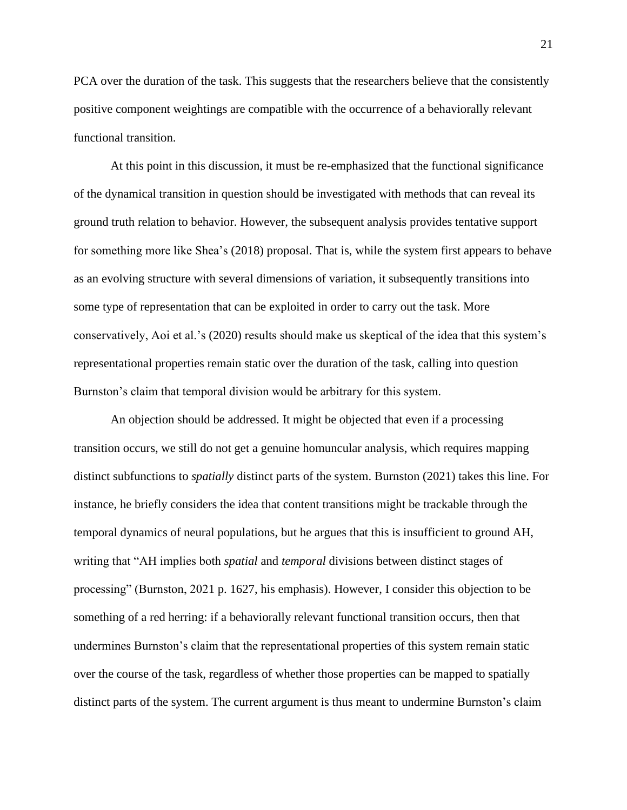PCA over the duration of the task. This suggests that the researchers believe that the consistently positive component weightings are compatible with the occurrence of a behaviorally relevant functional transition.

At this point in this discussion, it must be re-emphasized that the functional significance of the dynamical transition in question should be investigated with methods that can reveal its ground truth relation to behavior. However, the subsequent analysis provides tentative support for something more like Shea's (2018) proposal. That is, while the system first appears to behave as an evolving structure with several dimensions of variation, it subsequently transitions into some type of representation that can be exploited in order to carry out the task. More conservatively, Aoi et al.'s (2020) results should make us skeptical of the idea that this system's representational properties remain static over the duration of the task, calling into question Burnston's claim that temporal division would be arbitrary for this system.

An objection should be addressed. It might be objected that even if a processing transition occurs, we still do not get a genuine homuncular analysis, which requires mapping distinct subfunctions to *spatially* distinct parts of the system. Burnston (2021) takes this line. For instance, he briefly considers the idea that content transitions might be trackable through the temporal dynamics of neural populations, but he argues that this is insufficient to ground AH, writing that "AH implies both *spatial* and *temporal* divisions between distinct stages of processing" (Burnston, 2021 p. 1627, his emphasis). However, I consider this objection to be something of a red herring: if a behaviorally relevant functional transition occurs, then that undermines Burnston's claim that the representational properties of this system remain static over the course of the task, regardless of whether those properties can be mapped to spatially distinct parts of the system. The current argument is thus meant to undermine Burnston's claim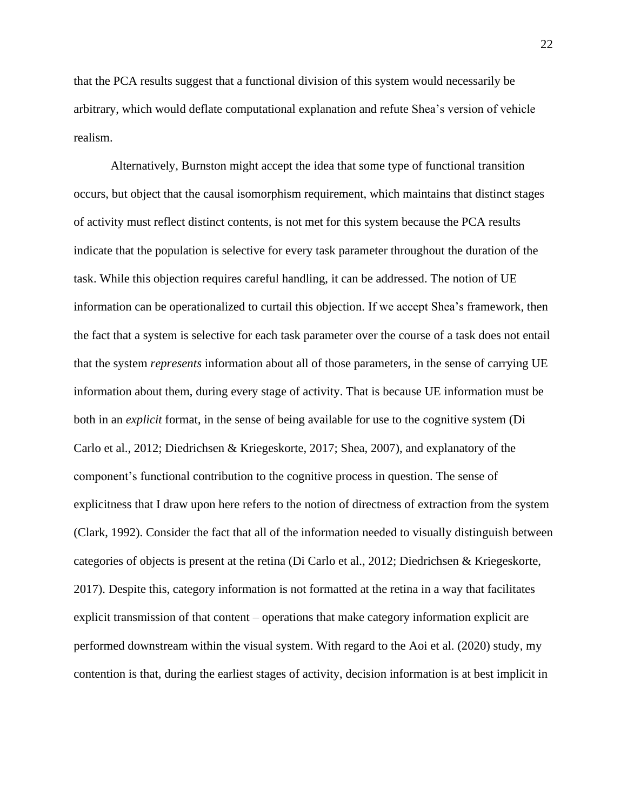that the PCA results suggest that a functional division of this system would necessarily be arbitrary, which would deflate computational explanation and refute Shea's version of vehicle realism.

Alternatively, Burnston might accept the idea that some type of functional transition occurs, but object that the causal isomorphism requirement, which maintains that distinct stages of activity must reflect distinct contents, is not met for this system because the PCA results indicate that the population is selective for every task parameter throughout the duration of the task. While this objection requires careful handling, it can be addressed. The notion of UE information can be operationalized to curtail this objection. If we accept Shea's framework, then the fact that a system is selective for each task parameter over the course of a task does not entail that the system *represents* information about all of those parameters, in the sense of carrying UE information about them, during every stage of activity. That is because UE information must be both in an *explicit* format, in the sense of being available for use to the cognitive system (Di Carlo et al., 2012; Diedrichsen & Kriegeskorte, 2017; Shea, 2007), and explanatory of the component's functional contribution to the cognitive process in question. The sense of explicitness that I draw upon here refers to the notion of directness of extraction from the system (Clark, 1992). Consider the fact that all of the information needed to visually distinguish between categories of objects is present at the retina (Di Carlo et al., 2012; Diedrichsen & Kriegeskorte, 2017). Despite this, category information is not formatted at the retina in a way that facilitates explicit transmission of that content – operations that make category information explicit are performed downstream within the visual system. With regard to the Aoi et al. (2020) study, my contention is that, during the earliest stages of activity, decision information is at best implicit in

22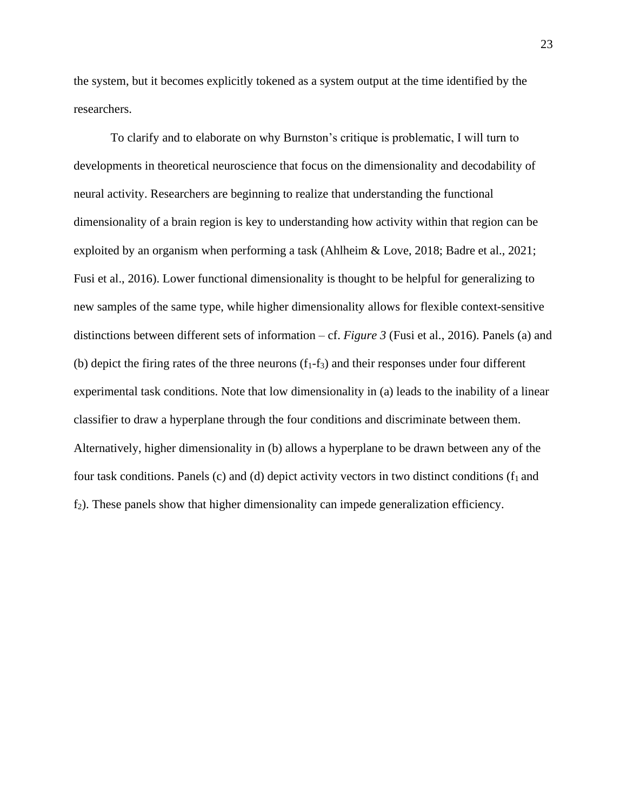the system, but it becomes explicitly tokened as a system output at the time identified by the researchers.

To clarify and to elaborate on why Burnston's critique is problematic, I will turn to developments in theoretical neuroscience that focus on the dimensionality and decodability of neural activity. Researchers are beginning to realize that understanding the functional dimensionality of a brain region is key to understanding how activity within that region can be exploited by an organism when performing a task (Ahlheim & Love, 2018; Badre et al., 2021; Fusi et al., 2016). Lower functional dimensionality is thought to be helpful for generalizing to new samples of the same type, while higher dimensionality allows for flexible context-sensitive distinctions between different sets of information – cf. *Figure 3* (Fusi et al., 2016). Panels (a) and (b) depict the firing rates of the three neurons  $(f_1-f_3)$  and their responses under four different experimental task conditions. Note that low dimensionality in (a) leads to the inability of a linear classifier to draw a hyperplane through the four conditions and discriminate between them. Alternatively, higher dimensionality in (b) allows a hyperplane to be drawn between any of the four task conditions. Panels (c) and (d) depict activity vectors in two distinct conditions ( $f_1$  and  $f_2$ ). These panels show that higher dimensionality can impede generalization efficiency.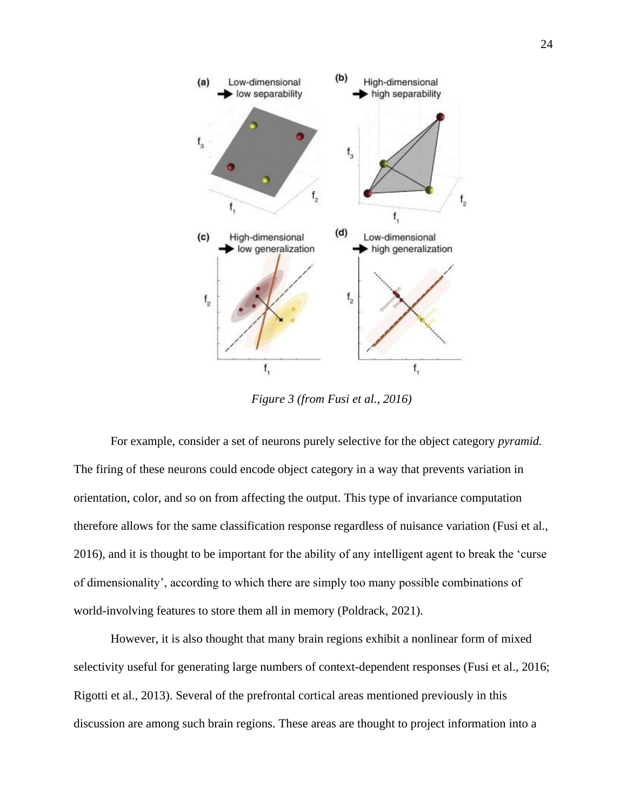

*Figure 3 (from Fusi et al., 2016)*

<span id="page-32-0"></span>For example, consider a set of neurons purely selective for the object category *pyramid.*  The firing of these neurons could encode object category in a way that prevents variation in orientation, color, and so on from affecting the output. This type of invariance computation therefore allows for the same classification response regardless of nuisance variation (Fusi et al., 2016), and it is thought to be important for the ability of any intelligent agent to break the 'curse of dimensionality', according to which there are simply too many possible combinations of world-involving features to store them all in memory (Poldrack, 2021).

However, it is also thought that many brain regions exhibit a nonlinear form of mixed selectivity useful for generating large numbers of context-dependent responses (Fusi et al., 2016; Rigotti et al., 2013). Several of the prefrontal cortical areas mentioned previously in this discussion are among such brain regions. These areas are thought to project information into a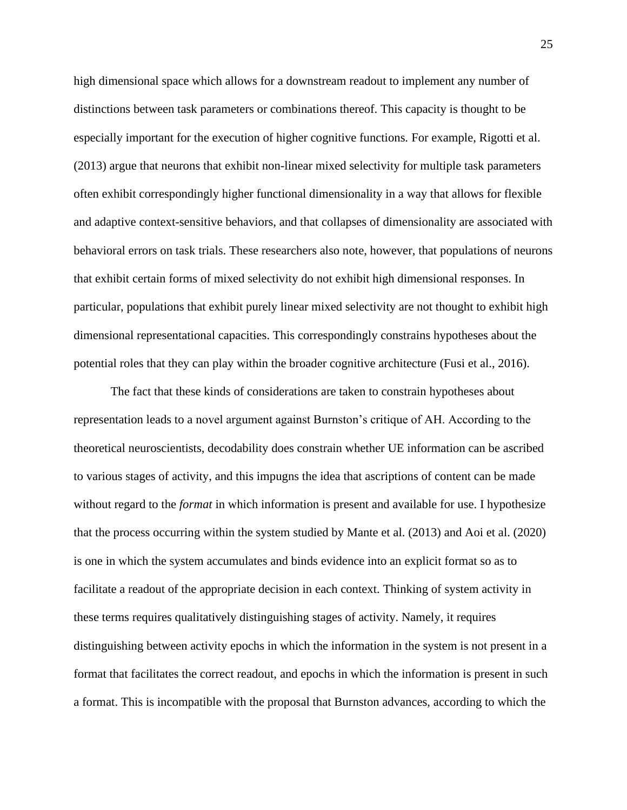high dimensional space which allows for a downstream readout to implement any number of distinctions between task parameters or combinations thereof. This capacity is thought to be especially important for the execution of higher cognitive functions*.* For example, Rigotti et al. (2013) argue that neurons that exhibit non-linear mixed selectivity for multiple task parameters often exhibit correspondingly higher functional dimensionality in a way that allows for flexible and adaptive context-sensitive behaviors, and that collapses of dimensionality are associated with behavioral errors on task trials. These researchers also note, however, that populations of neurons that exhibit certain forms of mixed selectivity do not exhibit high dimensional responses. In particular, populations that exhibit purely linear mixed selectivity are not thought to exhibit high dimensional representational capacities. This correspondingly constrains hypotheses about the potential roles that they can play within the broader cognitive architecture (Fusi et al., 2016).

The fact that these kinds of considerations are taken to constrain hypotheses about representation leads to a novel argument against Burnston's critique of AH. According to the theoretical neuroscientists, decodability does constrain whether UE information can be ascribed to various stages of activity, and this impugns the idea that ascriptions of content can be made without regard to the *format* in which information is present and available for use. I hypothesize that the process occurring within the system studied by Mante et al. (2013) and Aoi et al. (2020) is one in which the system accumulates and binds evidence into an explicit format so as to facilitate a readout of the appropriate decision in each context. Thinking of system activity in these terms requires qualitatively distinguishing stages of activity. Namely, it requires distinguishing between activity epochs in which the information in the system is not present in a format that facilitates the correct readout, and epochs in which the information is present in such a format. This is incompatible with the proposal that Burnston advances, according to which the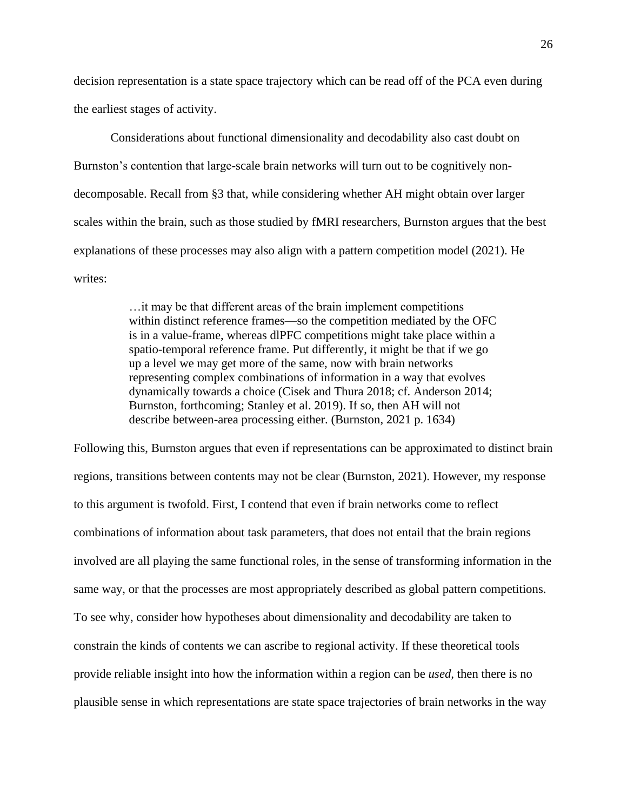decision representation is a state space trajectory which can be read off of the PCA even during the earliest stages of activity.

Considerations about functional dimensionality and decodability also cast doubt on Burnston's contention that large-scale brain networks will turn out to be cognitively nondecomposable. Recall from §3 that, while considering whether AH might obtain over larger scales within the brain, such as those studied by fMRI researchers, Burnston argues that the best explanations of these processes may also align with a pattern competition model (2021). He writes:

> …it may be that different areas of the brain implement competitions within distinct reference frames—so the competition mediated by the OFC is in a value-frame, whereas dlPFC competitions might take place within a spatio-temporal reference frame. Put differently, it might be that if we go up a level we may get more of the same, now with brain networks representing complex combinations of information in a way that evolves dynamically towards a choice (Cisek and Thura 2018; cf. Anderson 2014; Burnston, forthcoming; Stanley et al. 2019). If so, then AH will not describe between-area processing either. (Burnston, 2021 p. 1634)

Following this, Burnston argues that even if representations can be approximated to distinct brain regions, transitions between contents may not be clear (Burnston, 2021). However, my response to this argument is twofold. First, I contend that even if brain networks come to reflect combinations of information about task parameters, that does not entail that the brain regions involved are all playing the same functional roles, in the sense of transforming information in the same way, or that the processes are most appropriately described as global pattern competitions. To see why, consider how hypotheses about dimensionality and decodability are taken to constrain the kinds of contents we can ascribe to regional activity. If these theoretical tools provide reliable insight into how the information within a region can be *used,* then there is no plausible sense in which representations are state space trajectories of brain networks in the way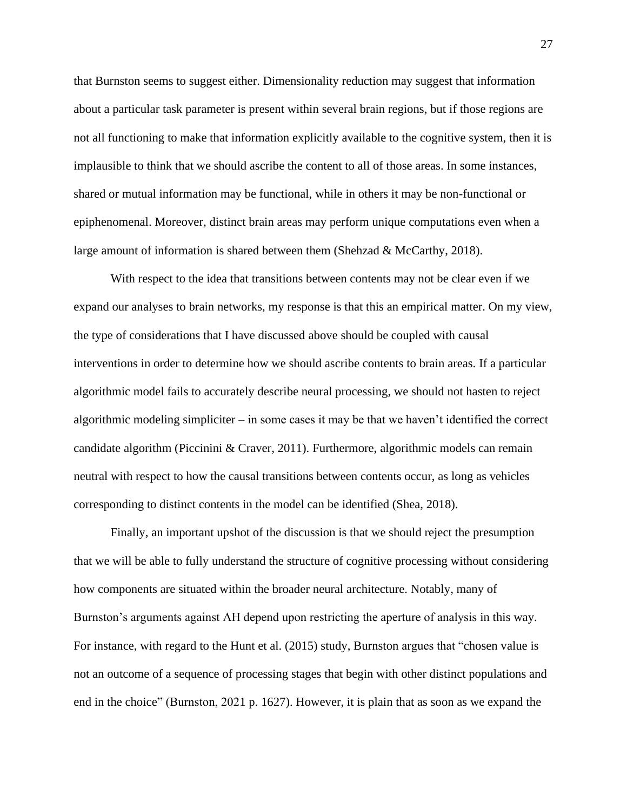that Burnston seems to suggest either. Dimensionality reduction may suggest that information about a particular task parameter is present within several brain regions, but if those regions are not all functioning to make that information explicitly available to the cognitive system, then it is implausible to think that we should ascribe the content to all of those areas. In some instances, shared or mutual information may be functional, while in others it may be non-functional or epiphenomenal. Moreover, distinct brain areas may perform unique computations even when a large amount of information is shared between them (Shehzad & McCarthy, 2018).

With respect to the idea that transitions between contents may not be clear even if we expand our analyses to brain networks, my response is that this an empirical matter. On my view, the type of considerations that I have discussed above should be coupled with causal interventions in order to determine how we should ascribe contents to brain areas. If a particular algorithmic model fails to accurately describe neural processing, we should not hasten to reject algorithmic modeling simpliciter – in some cases it may be that we haven't identified the correct candidate algorithm (Piccinini & Craver, 2011). Furthermore, algorithmic models can remain neutral with respect to how the causal transitions between contents occur, as long as vehicles corresponding to distinct contents in the model can be identified (Shea, 2018).

Finally, an important upshot of the discussion is that we should reject the presumption that we will be able to fully understand the structure of cognitive processing without considering how components are situated within the broader neural architecture. Notably, many of Burnston's arguments against AH depend upon restricting the aperture of analysis in this way. For instance, with regard to the Hunt et al. (2015) study, Burnston argues that "chosen value is not an outcome of a sequence of processing stages that begin with other distinct populations and end in the choice" (Burnston, 2021 p. 1627). However, it is plain that as soon as we expand the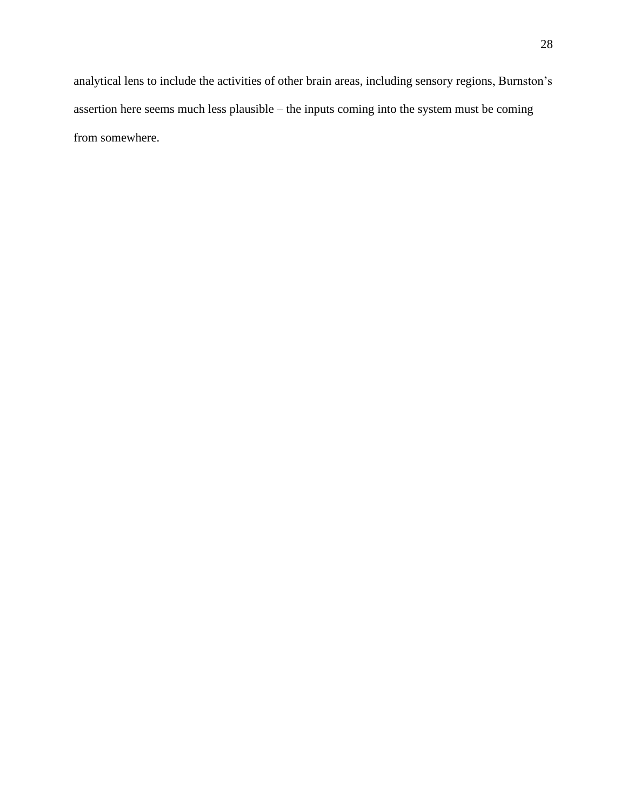analytical lens to include the activities of other brain areas, including sensory regions, Burnston's assertion here seems much less plausible – the inputs coming into the system must be coming from somewhere.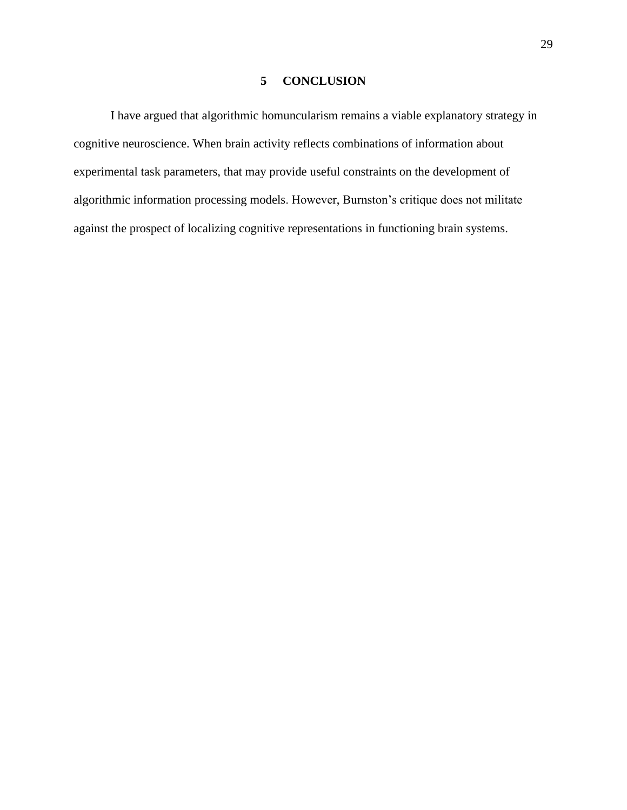### **5 CONCLUSION**

<span id="page-37-0"></span>I have argued that algorithmic homuncularism remains a viable explanatory strategy in cognitive neuroscience. When brain activity reflects combinations of information about experimental task parameters, that may provide useful constraints on the development of algorithmic information processing models. However, Burnston's critique does not militate against the prospect of localizing cognitive representations in functioning brain systems.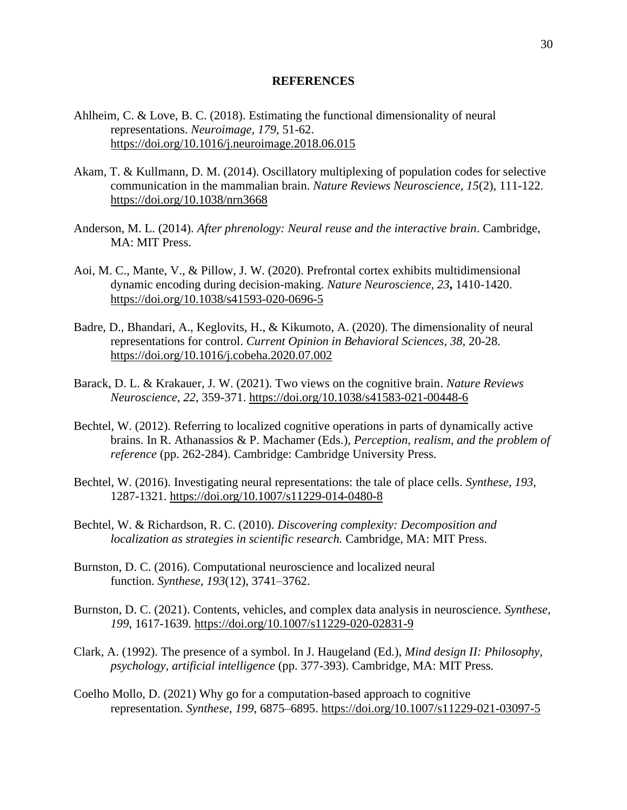### **REFERENCES**

- <span id="page-38-0"></span>Ahlheim, C. & Love, B. C. (2018). Estimating the functional dimensionality of neural representations. *Neuroimage, 179,* 51-62. <https://doi.org/10.1016/j.neuroimage.2018.06.015>
- Akam, T. & Kullmann, D. M. (2014). Oscillatory multiplexing of population codes for selective communication in the mammalian brain. *Nature Reviews Neuroscience, 15*(2), 111-122. <https://doi.org/10.1038/nrn3668>
- Anderson, M. L. (2014). *After phrenology: Neural reuse and the interactive brain*. Cambridge, MA: MIT Press.
- Aoi, M. C., Mante, V., & Pillow, J. W. (2020). Prefrontal cortex exhibits multidimensional dynamic encoding during decision-making. *Nature Neuroscience, 23***,** 1410-1420. <https://doi.org/10.1038/s41593-020-0696-5>
- Badre, D., Bhandari, A., Keglovits, H., & Kikumoto, A. (2020). The dimensionality of neural representations for control. *Current Opinion in Behavioral Sciences, 38,* 20-28. <https://doi.org/10.1016/j.cobeha.2020.07.002>
- Barack, D. L. & Krakauer, J. W. (2021). Two views on the cognitive brain. *Nature Reviews Neuroscience, 22*, 359-371.<https://doi.org/10.1038/s41583-021-00448-6>
- Bechtel, W. (2012). Referring to localized cognitive operations in parts of dynamically active brains. In R. Athanassios & P. Machamer (Eds.), *Perception, realism, and the problem of reference* (pp. 262-284). Cambridge: Cambridge University Press.
- Bechtel, W. (2016). Investigating neural representations: the tale of place cells. *Synthese, 193,*  1287-1321.<https://doi.org/10.1007/s11229-014-0480-8>
- Bechtel, W. & Richardson, R. C. (2010). *Discovering complexity: Decomposition and localization as strategies in scientific research.* Cambridge, MA: MIT Press.
- Burnston, D. C. (2016). Computational neuroscience and localized neural function. *Synthese, 193*(12), 3741–3762.
- Burnston, D. C. (2021). Contents, vehicles, and complex data analysis in neuroscience. *Synthese, 199*, 1617-1639.<https://doi.org/10.1007/s11229-020-02831-9>
- Clark, A. (1992). The presence of a symbol. In J. Haugeland (Ed.), *Mind design II: Philosophy, psychology, artificial intelligence* (pp. 377-393). Cambridge, MA: MIT Press.
- Coelho Mollo, D. (2021) Why go for a computation-based approach to cognitive representation. *Synthese, 199*, 6875–6895. <https://doi.org/10.1007/s11229-021-03097-5>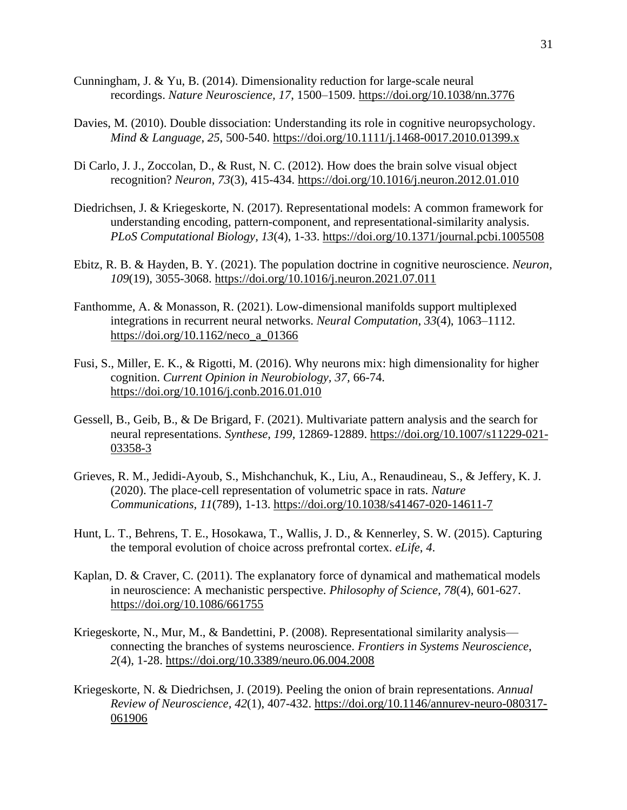- Cunningham, J. & Yu, B. (2014). Dimensionality reduction for large-scale neural recordings. *Nature Neuroscience, 17*, 1500–1509.<https://doi.org/10.1038/nn.3776>
- Davies, M. (2010). Double dissociation: Understanding its role in cognitive neuropsychology. *Mind & Language*, *25*, 500-540. <https://doi.org/10.1111/j.1468-0017.2010.01399.x>
- Di Carlo, J. J., Zoccolan, D., & Rust, N. C. (2012). How does the brain solve visual object recognition? *Neuron, 73*(3), 415-434.<https://doi.org/10.1016/j.neuron.2012.01.010>
- Diedrichsen, J. & Kriegeskorte, N. (2017). Representational models: A common framework for understanding encoding, pattern-component, and representational-similarity analysis. *PLoS Computational Biology, 13*(4), 1-33.<https://doi.org/10.1371/journal.pcbi.1005508>
- Ebitz, R. B. & Hayden, B. Y. (2021). The population doctrine in cognitive neuroscience. *Neuron, 109*(19), 3055-3068.<https://doi.org/10.1016/j.neuron.2021.07.011>
- Fanthomme, A. & Monasson, R. (2021). Low-dimensional manifolds support multiplexed integrations in recurrent neural networks. *Neural Computation*, *33*(4), 1063–1112. [https://doi.org/10.1162/neco\\_a\\_01366](https://doi.org/10.1162/neco_a_01366)
- Fusi, S., Miller, E. K., & Rigotti, M. (2016). Why neurons mix: high dimensionality for higher cognition. *Current Opinion in Neurobiology, 37,* 66-74. <https://doi.org/10.1016/j.conb.2016.01.010>
- Gessell, B., Geib, B., & De Brigard, F. (2021). Multivariate pattern analysis and the search for neural representations. *Synthese, 199,* 12869-12889. [https://doi.org/10.1007/s11229-021-](https://doi.org/10.1007/s11229-021-03358-3) [03358-3](https://doi.org/10.1007/s11229-021-03358-3)
- Grieves, R. M., Jedidi-Ayoub, S., Mishchanchuk, K., Liu, A., Renaudineau, S., & Jeffery, K. J. (2020). The place-cell representation of volumetric space in rats. *Nature Communications, 11*(789), 1-13.<https://doi.org/10.1038/s41467-020-14611-7>
- Hunt, L. T., Behrens, T. E., Hosokawa, T., Wallis, J. D., & Kennerley, S. W. (2015). Capturing the temporal evolution of choice across prefrontal cortex. *eLife*, *4*.
- Kaplan, D. & Craver, C. (2011). The explanatory force of dynamical and mathematical models in neuroscience: A mechanistic perspective. *Philosophy of Science, 78*(4), 601-627. https://doi.org/10.1086/661755
- Kriegeskorte, N., Mur, M., & Bandettini, P. (2008). Representational similarity analysis connecting the branches of systems neuroscience. *Frontiers in Systems Neuroscience*, *2*(4), 1-28.<https://doi.org/10.3389/neuro.06.004.2008>
- Kriegeskorte, N. & Diedrichsen, J. (2019). Peeling the onion of brain representations. *Annual Review of Neuroscience, 42*(1), 407-432. [https://doi.org/10.1146/annurev-neuro-080317-](https://doi.org/10.1146/annurev-neuro-080317-061906) [061906](https://doi.org/10.1146/annurev-neuro-080317-061906)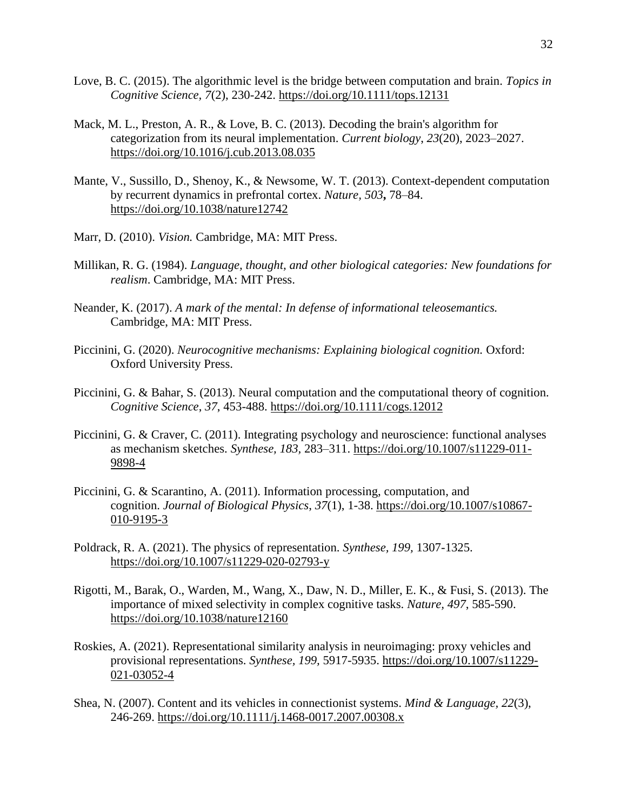- Love, B. C. (2015). The algorithmic level is the bridge between computation and brain. *Topics in Cognitive Science, 7*(2), 230-242.<https://doi.org/10.1111/tops.12131>
- Mack, M. L., Preston, A. R., & Love, B. C. (2013). Decoding the brain's algorithm for categorization from its neural implementation. *Current biology*, *23*(20), 2023–2027. <https://doi.org/10.1016/j.cub.2013.08.035>
- Mante, V., Sussillo, D., Shenoy, K., & Newsome, W. T. (2013). Context-dependent computation by recurrent dynamics in prefrontal cortex. *Nature, 503***,** 78–84. <https://doi.org/10.1038/nature12742>
- Marr, D. (2010). *Vision.* Cambridge, MA: MIT Press.
- Millikan, R. G. (1984). *Language, thought, and other biological categories: New foundations for realism*. Cambridge, MA: MIT Press.
- Neander, K. (2017). *A mark of the mental: In defense of informational teleosemantics.*  Cambridge, MA: MIT Press.
- Piccinini, G. (2020). *Neurocognitive mechanisms: Explaining biological cognition*. Oxford: Oxford University Press.
- Piccinini, G. & Bahar, S. (2013). Neural computation and the computational theory of cognition. *Cognitive Science*, *37*, 453-488. <https://doi.org/10.1111/cogs.12012>
- Piccinini, G. & Craver, C. (2011). Integrating psychology and neuroscience: functional analyses as mechanism sketches. *Synthese, 183,* 283–311. [https://doi.org/10.1007/s11229-011-](https://doi.org/10.1007/s11229-011-9898-4) [9898-4](https://doi.org/10.1007/s11229-011-9898-4)
- Piccinini, G. & Scarantino, A. (2011). Information processing, computation, and cognition. *Journal of Biological Physics*, *37*(1), 1-38. [https://doi.org/10.1007/s10867-](https://doi.org/10.1007/s10867-010-9195-3) [010-9195-3](https://doi.org/10.1007/s10867-010-9195-3)
- Poldrack, R. A. (2021). The physics of representation. *Synthese, 199,* 1307-1325. <https://doi.org/10.1007/s11229-020-02793-y>
- Rigotti, M., Barak, O., Warden, M., Wang, X., Daw, N. D., Miller, E. K., & Fusi, S. (2013). The importance of mixed selectivity in complex cognitive tasks. *Nature, 497*, 585-590. <https://doi.org/10.1038/nature12160>
- Roskies, A. (2021). Representational similarity analysis in neuroimaging: proxy vehicles and provisional representations. *Synthese, 199,* 5917-5935. [https://doi.org/10.1007/s11229-](https://doi.org/10.1007/s11229-021-03052-4) [021-03052-4](https://doi.org/10.1007/s11229-021-03052-4)
- Shea, N. (2007). Content and its vehicles in connectionist systems. *Mind & Language, 22*(3), 246-269.<https://doi.org/10.1111/j.1468-0017.2007.00308.x>